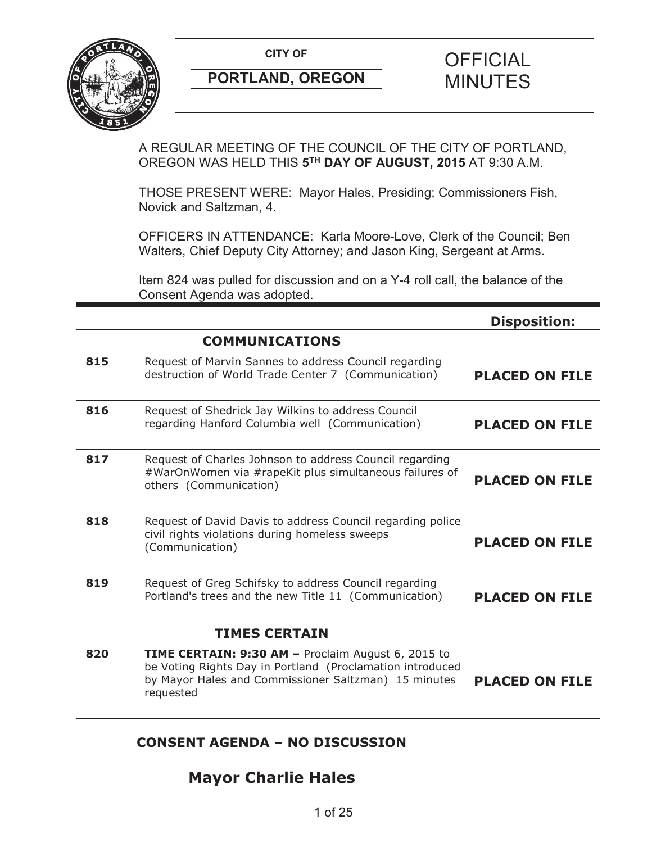

A REGULAR MEETING OF THE COUNCIL OF THE CITY OF PORTLAND, OREGON WAS HELD THIS **5TH DAY OF AUGUST, 2015** AT 9:30 A.M.

THOSE PRESENT WERE: Mayor Hales, Presiding; Commissioners Fish, Novick and Saltzman, 4.

OFFICERS IN ATTENDANCE: Karla Moore-Love, Clerk of the Council; Ben Walters, Chief Deputy City Attorney; and Jason King, Sergeant at Arms.

Item 824 was pulled for discussion and on a Y-4 roll call, the balance of the Consent Agenda was adopted.

|                                       |                                                                                                                                                                                      | <b>Disposition:</b>   |
|---------------------------------------|--------------------------------------------------------------------------------------------------------------------------------------------------------------------------------------|-----------------------|
|                                       | <b>COMMUNICATIONS</b>                                                                                                                                                                |                       |
| 815                                   | Request of Marvin Sannes to address Council regarding<br>destruction of World Trade Center 7 (Communication)                                                                         | <b>PLACED ON FILE</b> |
| 816                                   | Request of Shedrick Jay Wilkins to address Council<br>regarding Hanford Columbia well (Communication)                                                                                | <b>PLACED ON FILE</b> |
| 817                                   | Request of Charles Johnson to address Council regarding<br>#WarOnWomen via #rapeKit plus simultaneous failures of<br>others (Communication)                                          | <b>PLACED ON FILE</b> |
| 818                                   | Request of David Davis to address Council regarding police<br>civil rights violations during homeless sweeps<br>(Communication)                                                      | <b>PLACED ON FILE</b> |
| 819                                   | Request of Greg Schifsky to address Council regarding<br>Portland's trees and the new Title 11 (Communication)                                                                       | <b>PLACED ON FILE</b> |
|                                       | <b>TIMES CERTAIN</b>                                                                                                                                                                 |                       |
| 820                                   | TIME CERTAIN: 9:30 AM - Proclaim August 6, 2015 to<br>be Voting Rights Day in Portland (Proclamation introduced<br>by Mayor Hales and Commissioner Saltzman) 15 minutes<br>requested | <b>PLACED ON FILE</b> |
| <b>CONSENT AGENDA - NO DISCUSSION</b> |                                                                                                                                                                                      |                       |
|                                       | <b>Mayor Charlie Hales</b>                                                                                                                                                           |                       |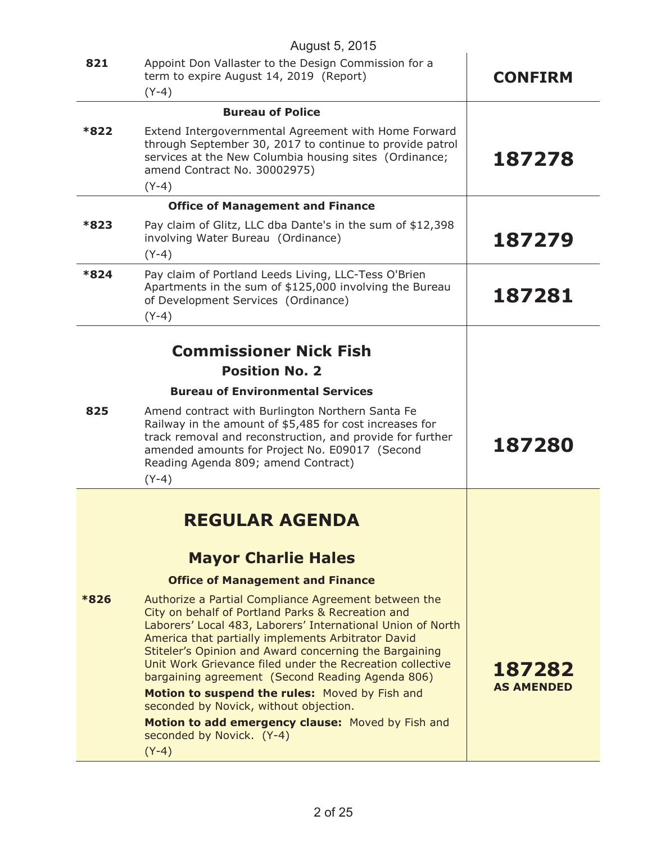| August 5, 2015 |                                                                                                                                                                                                                                                                                                                                                                                                                                                                                                                                                                                                    |                             |  |
|----------------|----------------------------------------------------------------------------------------------------------------------------------------------------------------------------------------------------------------------------------------------------------------------------------------------------------------------------------------------------------------------------------------------------------------------------------------------------------------------------------------------------------------------------------------------------------------------------------------------------|-----------------------------|--|
| 821            | Appoint Don Vallaster to the Design Commission for a<br>term to expire August 14, 2019 (Report)<br>$(Y-4)$                                                                                                                                                                                                                                                                                                                                                                                                                                                                                         | <b>CONFIRM</b>              |  |
|                | <b>Bureau of Police</b>                                                                                                                                                                                                                                                                                                                                                                                                                                                                                                                                                                            |                             |  |
| *822           | Extend Intergovernmental Agreement with Home Forward<br>through September 30, 2017 to continue to provide patrol<br>services at the New Columbia housing sites (Ordinance;<br>amend Contract No. 30002975)<br>$(Y-4)$                                                                                                                                                                                                                                                                                                                                                                              | 187278                      |  |
|                | <b>Office of Management and Finance</b>                                                                                                                                                                                                                                                                                                                                                                                                                                                                                                                                                            |                             |  |
| *823           | Pay claim of Glitz, LLC dba Dante's in the sum of \$12,398<br>involving Water Bureau (Ordinance)<br>$(Y-4)$                                                                                                                                                                                                                                                                                                                                                                                                                                                                                        | 187279                      |  |
| *824           | Pay claim of Portland Leeds Living, LLC-Tess O'Brien<br>Apartments in the sum of \$125,000 involving the Bureau<br>of Development Services (Ordinance)<br>$(Y-4)$                                                                                                                                                                                                                                                                                                                                                                                                                                  | 187281                      |  |
|                |                                                                                                                                                                                                                                                                                                                                                                                                                                                                                                                                                                                                    |                             |  |
|                | <b>Commissioner Nick Fish</b>                                                                                                                                                                                                                                                                                                                                                                                                                                                                                                                                                                      |                             |  |
|                | <b>Position No. 2</b>                                                                                                                                                                                                                                                                                                                                                                                                                                                                                                                                                                              |                             |  |
|                | <b>Bureau of Environmental Services</b>                                                                                                                                                                                                                                                                                                                                                                                                                                                                                                                                                            |                             |  |
| 825            | Amend contract with Burlington Northern Santa Fe<br>Railway in the amount of \$5,485 for cost increases for<br>track removal and reconstruction, and provide for further<br>amended amounts for Project No. E09017 (Second<br>Reading Agenda 809; amend Contract)<br>$(Y-4)$                                                                                                                                                                                                                                                                                                                       | 187280                      |  |
|                |                                                                                                                                                                                                                                                                                                                                                                                                                                                                                                                                                                                                    |                             |  |
|                | <b>REGULAR AGENDA</b>                                                                                                                                                                                                                                                                                                                                                                                                                                                                                                                                                                              |                             |  |
|                | <b>Mayor Charlie Hales</b>                                                                                                                                                                                                                                                                                                                                                                                                                                                                                                                                                                         |                             |  |
|                | <b>Office of Management and Finance</b>                                                                                                                                                                                                                                                                                                                                                                                                                                                                                                                                                            |                             |  |
| *826           | Authorize a Partial Compliance Agreement between the<br>City on behalf of Portland Parks & Recreation and<br>Laborers' Local 483, Laborers' International Union of North<br>America that partially implements Arbitrator David<br>Stiteler's Opinion and Award concerning the Bargaining<br>Unit Work Grievance filed under the Recreation collective<br>bargaining agreement (Second Reading Agenda 806)<br>Motion to suspend the rules: Moved by Fish and<br>seconded by Novick, without objection.<br>Motion to add emergency clause: Moved by Fish and<br>seconded by Novick. (Y-4)<br>$(Y-4)$ | 187282<br><b>AS AMENDED</b> |  |
|                |                                                                                                                                                                                                                                                                                                                                                                                                                                                                                                                                                                                                    |                             |  |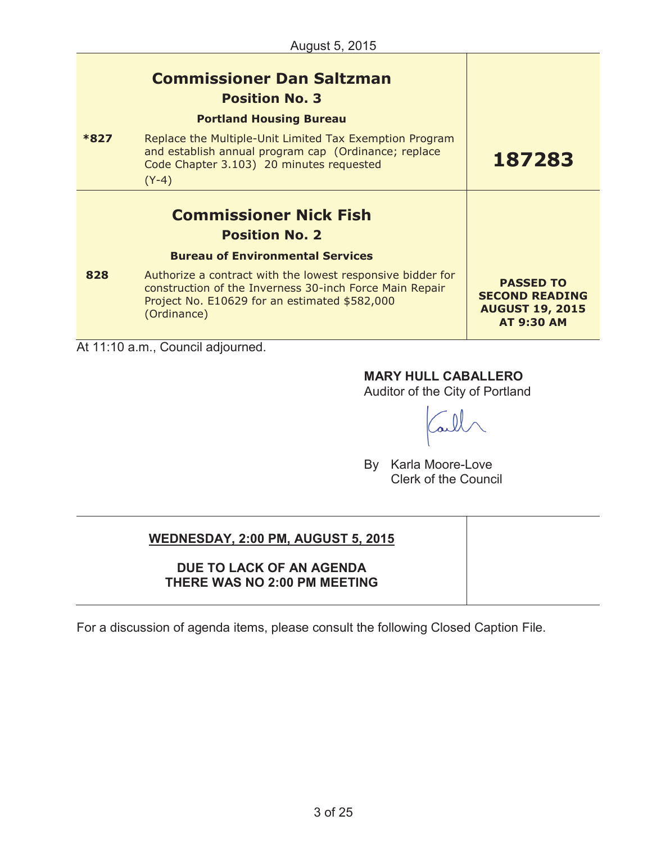|      | <b>Commissioner Dan Saltzman</b><br><b>Position No. 3</b>                                                                                                                             |                                                                                          |
|------|---------------------------------------------------------------------------------------------------------------------------------------------------------------------------------------|------------------------------------------------------------------------------------------|
| *827 | <b>Portland Housing Bureau</b><br>Replace the Multiple-Unit Limited Tax Exemption Program                                                                                             |                                                                                          |
|      | and establish annual program cap (Ordinance; replace<br>Code Chapter 3.103) 20 minutes requested                                                                                      | 187283                                                                                   |
|      | $(Y-4)$                                                                                                                                                                               |                                                                                          |
|      | <b>Commissioner Nick Fish</b>                                                                                                                                                         |                                                                                          |
|      | <b>Position No. 2</b>                                                                                                                                                                 |                                                                                          |
|      | <b>Bureau of Environmental Services</b>                                                                                                                                               |                                                                                          |
| 828  | Authorize a contract with the lowest responsive bidder for<br>construction of the Inverness 30-inch Force Main Repair<br>Project No. E10629 for an estimated \$582,000<br>(Ordinance) | <b>PASSED TO</b><br><b>SECOND READING</b><br><b>AUGUST 19, 2015</b><br><b>AT 9:30 AM</b> |
|      | At 11:10 a.m., Council adjourned.                                                                                                                                                     |                                                                                          |

# **MARY HULL CABALLERO**

Auditor of the City of Portland

By Karla Moore-Love Clerk of the Council

# **WEDNESDAY, 2:00 PM, AUGUST 5, 2015**

## **DUE TO LACK OF AN AGENDA THERE WAS NO 2:00 PM MEETING**

For a discussion of agenda items, please consult the following Closed Caption File.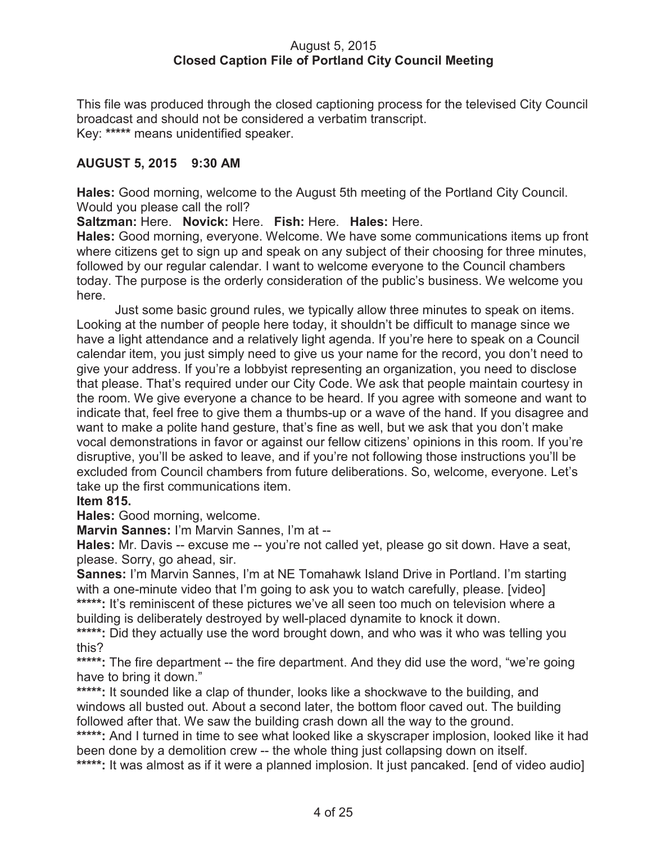#### August 5, 2015 **Closed Caption File of Portland City Council Meeting**

This file was produced through the closed captioning process for the televised City Council broadcast and should not be considered a verbatim transcript. Key: **\*\*\*\*\*** means unidentified speaker.

## **AUGUST 5, 2015 9:30 AM**

**Hales:** Good morning, welcome to the August 5th meeting of the Portland City Council. Would you please call the roll?

**Saltzman:** Here. **Novick:** Here. **Fish:** Here. **Hales:** Here.

**Hales:** Good morning, everyone. Welcome. We have some communications items up front where citizens get to sign up and speak on any subject of their choosing for three minutes, followed by our regular calendar. I want to welcome everyone to the Council chambers today. The purpose is the orderly consideration of the public's business. We welcome you here.

Just some basic ground rules, we typically allow three minutes to speak on items. Looking at the number of people here today, it shouldn't be difficult to manage since we have a light attendance and a relatively light agenda. If you're here to speak on a Council calendar item, you just simply need to give us your name for the record, you don't need to give your address. If you're a lobbyist representing an organization, you need to disclose that please. That's required under our City Code. We ask that people maintain courtesy in the room. We give everyone a chance to be heard. If you agree with someone and want to indicate that, feel free to give them a thumbs-up or a wave of the hand. If you disagree and want to make a polite hand gesture, that's fine as well, but we ask that you don't make vocal demonstrations in favor or against our fellow citizens' opinions in this room. If you're disruptive, you'll be asked to leave, and if you're not following those instructions you'll be excluded from Council chambers from future deliberations. So, welcome, everyone. Let's take up the first communications item.

#### **Item 815.**

**Hales:** Good morning, welcome.

**Marvin Sannes:** I'm Marvin Sannes, I'm at --

**Hales:** Mr. Davis -- excuse me -- you're not called yet, please go sit down. Have a seat, please. Sorry, go ahead, sir.

**Sannes:** I'm Marvin Sannes, I'm at NE Tomahawk Island Drive in Portland. I'm starting with a one-minute video that I'm going to ask you to watch carefully, please. [video] \*\*\*\*\*: It's reminiscent of these pictures we've all seen too much on television where a building is deliberately destroyed by well-placed dynamite to knock it down.

\*\*\*\*\*: Did they actually use the word brought down, and who was it who was telling you this?

\*\*\*\*\*: The fire department -- the fire department. And they did use the word, "we're going have to bring it down."

\*\*\*\*\*: It sounded like a clap of thunder, looks like a shockwave to the building, and windows all busted out. About a second later, the bottom floor caved out. The building followed after that. We saw the building crash down all the way to the ground.

\*\*\*\*\*: And I turned in time to see what looked like a skyscraper implosion, looked like it had been done by a demolition crew -- the whole thing just collapsing down on itself. \*\*\*\*\*: It was almost as if it were a planned implosion. It just pancaked. [end of video audio]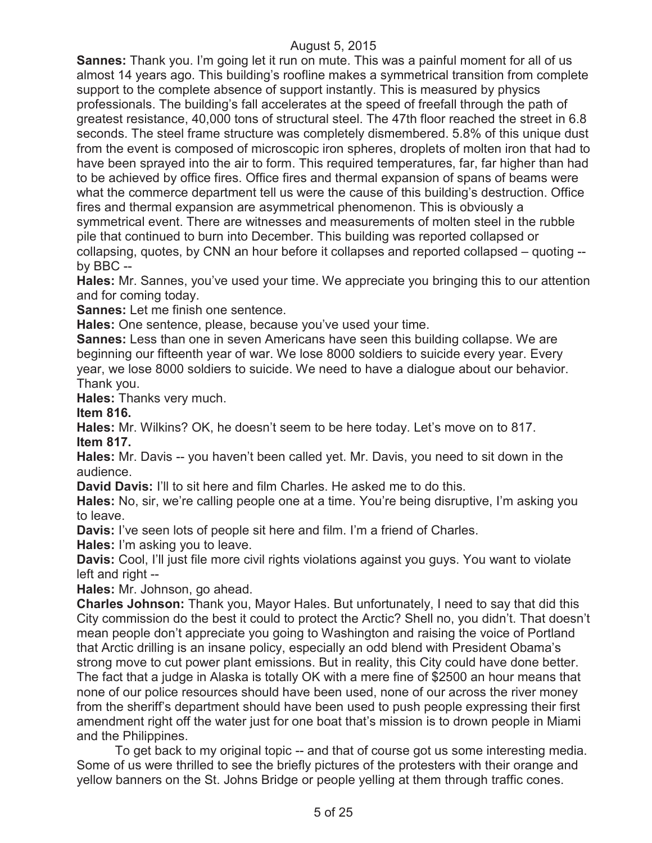**Sannes:** Thank you. I'm going let it run on mute. This was a painful moment for all of us almost 14 years ago. This building's roofline makes a symmetrical transition from complete support to the complete absence of support instantly. This is measured by physics professionals. The building's fall accelerates at the speed of freefall through the path of greatest resistance, 40,000 tons of structural steel. The 47th floor reached the street in 6.8 seconds. The steel frame structure was completely dismembered. 5.8% of this unique dust from the event is composed of microscopic iron spheres, droplets of molten iron that had to have been sprayed into the air to form. This required temperatures, far, far higher than had to be achieved by office fires. Office fires and thermal expansion of spans of beams were what the commerce department tell us were the cause of this building's destruction. Office fires and thermal expansion are asymmetrical phenomenon. This is obviously a symmetrical event. There are witnesses and measurements of molten steel in the rubble pile that continued to burn into December. This building was reported collapsed or collapsing, quotes, by CNN an hour before it collapses and reported collapsed – quoting - by BBC --

**Hales:** Mr. Sannes, you've used your time. We appreciate you bringing this to our attention and for coming today.

**Sannes:** Let me finish one sentence.

**Hales:** One sentence, please, because you've used your time.

**Sannes:** Less than one in seven Americans have seen this building collapse. We are beginning our fifteenth year of war. We lose 8000 soldiers to suicide every year. Every year, we lose 8000 soldiers to suicide. We need to have a dialogue about our behavior. Thank you.

**Hales:** Thanks very much.

**Item 816.**

**Hales:** Mr. Wilkins? OK, he doesn't seem to be here today. Let's move on to 817. **Item 817.**

**Hales:** Mr. Davis -- you haven't been called yet. Mr. Davis, you need to sit down in the audience.

**David Davis:** I'll to sit here and film Charles. He asked me to do this.

**Hales:** No, sir, we're calling people one at a time. You're being disruptive, I'm asking you to leave.

**Davis:** I've seen lots of people sit here and film. I'm a friend of Charles.

**Hales:** I'm asking you to leave.

**Davis:** Cool, I'll just file more civil rights violations against you guys. You want to violate left and right --

**Hales:** Mr. Johnson, go ahead.

**Charles Johnson:** Thank you, Mayor Hales. But unfortunately, I need to say that did this City commission do the best it could to protect the Arctic? Shell no, you didn't. That doesn't mean people don't appreciate you going to Washington and raising the voice of Portland that Arctic drilling is an insane policy, especially an odd blend with President Obama's strong move to cut power plant emissions. But in reality, this City could have done better. The fact that a judge in Alaska is totally OK with a mere fine of \$2500 an hour means that none of our police resources should have been used, none of our across the river money from the sheriff's department should have been used to push people expressing their first amendment right off the water just for one boat that's mission is to drown people in Miami and the Philippines.

To get back to my original topic -- and that of course got us some interesting media. Some of us were thrilled to see the briefly pictures of the protesters with their orange and yellow banners on the St. Johns Bridge or people yelling at them through traffic cones.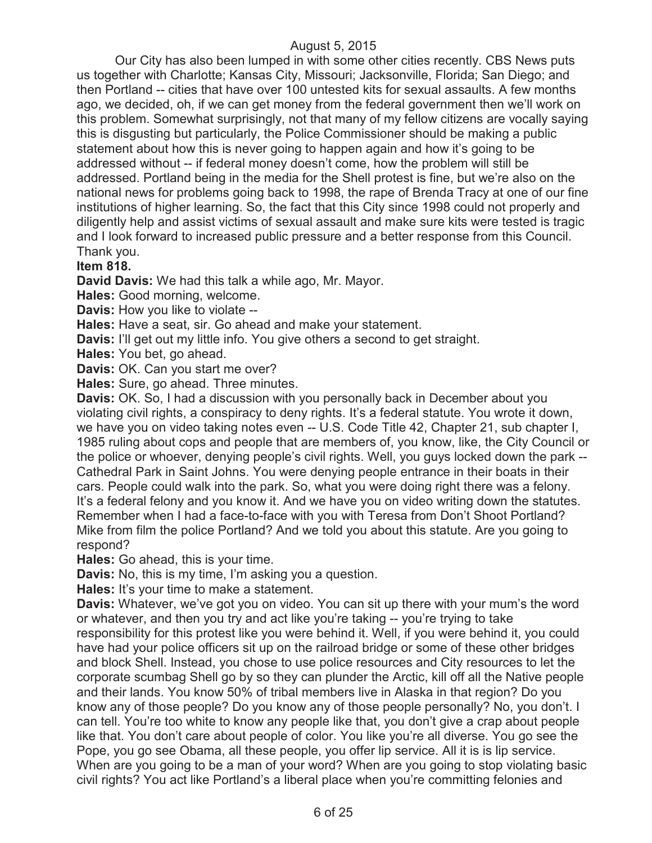Our City has also been lumped in with some other cities recently. CBS News puts us together with Charlotte; Kansas City, Missouri; Jacksonville, Florida; San Diego; and then Portland -- cities that have over 100 untested kits for sexual assaults. A few months ago, we decided, oh, if we can get money from the federal government then we'll work on this problem. Somewhat surprisingly, not that many of my fellow citizens are vocally saying this is disgusting but particularly, the Police Commissioner should be making a public statement about how this is never going to happen again and how it's going to be addressed without -- if federal money doesn't come, how the problem will still be addressed. Portland being in the media for the Shell protest is fine, but we're also on the national news for problems going back to 1998, the rape of Brenda Tracy at one of our fine institutions of higher learning. So, the fact that this City since 1998 could not properly and diligently help and assist victims of sexual assault and make sure kits were tested is tragic and I look forward to increased public pressure and a better response from this Council. Thank you.

#### **Item 818.**

**David Davis:** We had this talk a while ago, Mr. Mayor.

**Hales:** Good morning, welcome.

**Davis:** How you like to violate --

**Hales:** Have a seat, sir. Go ahead and make your statement.

**Davis:** I'll get out my little info. You give others a second to get straight.

**Hales:** You bet, go ahead.

**Davis:** OK. Can you start me over?

**Hales:** Sure, go ahead. Three minutes.

**Davis:** OK. So, I had a discussion with you personally back in December about you violating civil rights, a conspiracy to deny rights. It's a federal statute. You wrote it down, we have you on video taking notes even -- U.S. Code Title 42, Chapter 21, sub chapter I, 1985 ruling about cops and people that are members of, you know, like, the City Council or the police or whoever, denying people's civil rights. Well, you guys locked down the park -- Cathedral Park in Saint Johns. You were denying people entrance in their boats in their cars. People could walk into the park. So, what you were doing right there was a felony. It's a federal felony and you know it. And we have you on video writing down the statutes. Remember when I had a face-to-face with you with Teresa from Don't Shoot Portland? Mike from film the police Portland? And we told you about this statute. Are you going to respond?

**Hales:** Go ahead, this is your time.

**Davis:** No, this is my time, I'm asking you a question.

**Hales:** It's your time to make a statement.

**Davis:** Whatever, we've got you on video. You can sit up there with your mum's the word or whatever, and then you try and act like you're taking -- you're trying to take responsibility for this protest like you were behind it. Well, if you were behind it, you could have had your police officers sit up on the railroad bridge or some of these other bridges and block Shell. Instead, you chose to use police resources and City resources to let the corporate scumbag Shell go by so they can plunder the Arctic, kill off all the Native people and their lands. You know 50% of tribal members live in Alaska in that region? Do you know any of those people? Do you know any of those people personally? No, you don't. I can tell. You're too white to know any people like that, you don't give a crap about people like that. You don't care about people of color. You like you're all diverse. You go see the Pope, you go see Obama, all these people, you offer lip service. All it is is lip service. When are you going to be a man of your word? When are you going to stop violating basic civil rights? You act like Portland's a liberal place when you're committing felonies and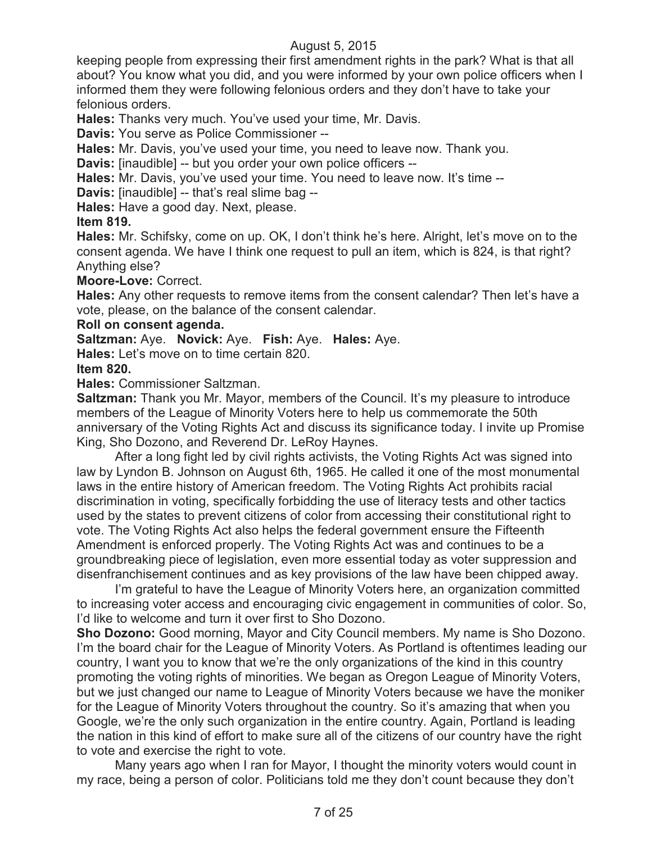keeping people from expressing their first amendment rights in the park? What is that all about? You know what you did, and you were informed by your own police officers when I informed them they were following felonious orders and they don't have to take your felonious orders.

**Hales:** Thanks very much. You've used your time, Mr. Davis.

**Davis:** You serve as Police Commissioner --

**Hales:** Mr. Davis, you've used your time, you need to leave now. Thank you.

**Davis:** [inaudible] -- but you order your own police officers --

**Hales:** Mr. Davis, you've used your time. You need to leave now. It's time --

**Davis:** [inaudible] -- that's real slime bag --

**Hales:** Have a good day. Next, please.

**Item 819.**

**Hales:** Mr. Schifsky, come on up. OK, I don't think he's here. Alright, let's move on to the consent agenda. We have I think one request to pull an item, which is 824, is that right? Anything else?

**Moore-Love:** Correct.

**Hales:** Any other requests to remove items from the consent calendar? Then let's have a vote, please, on the balance of the consent calendar.

#### **Roll on consent agenda.**

**Saltzman:** Aye. **Novick:** Aye. **Fish:** Aye. **Hales:** Aye.

**Hales:** Let's move on to time certain 820.

### **Item 820.**

**Hales:** Commissioner Saltzman.

**Saltzman:** Thank you Mr. Mayor, members of the Council. It's my pleasure to introduce members of the League of Minority Voters here to help us commemorate the 50th anniversary of the Voting Rights Act and discuss its significance today. I invite up Promise King, Sho Dozono, and Reverend Dr. LeRoy Haynes.

After a long fight led by civil rights activists, the Voting Rights Act was signed into law by Lyndon B. Johnson on August 6th, 1965. He called it one of the most monumental laws in the entire history of American freedom. The Voting Rights Act prohibits racial discrimination in voting, specifically forbidding the use of literacy tests and other tactics used by the states to prevent citizens of color from accessing their constitutional right to vote. The Voting Rights Act also helps the federal government ensure the Fifteenth Amendment is enforced properly. The Voting Rights Act was and continues to be a groundbreaking piece of legislation, even more essential today as voter suppression and disenfranchisement continues and as key provisions of the law have been chipped away.

I'm grateful to have the League of Minority Voters here, an organization committed to increasing voter access and encouraging civic engagement in communities of color. So, I'd like to welcome and turn it over first to Sho Dozono.

**Sho Dozono:** Good morning, Mayor and City Council members. My name is Sho Dozono. I'm the board chair for the League of Minority Voters. As Portland is oftentimes leading our country, I want you to know that we're the only organizations of the kind in this country promoting the voting rights of minorities. We began as Oregon League of Minority Voters, but we just changed our name to League of Minority Voters because we have the moniker for the League of Minority Voters throughout the country. So it's amazing that when you Google, we're the only such organization in the entire country. Again, Portland is leading the nation in this kind of effort to make sure all of the citizens of our country have the right to vote and exercise the right to vote.

Many years ago when I ran for Mayor, I thought the minority voters would count in my race, being a person of color. Politicians told me they don't count because they don't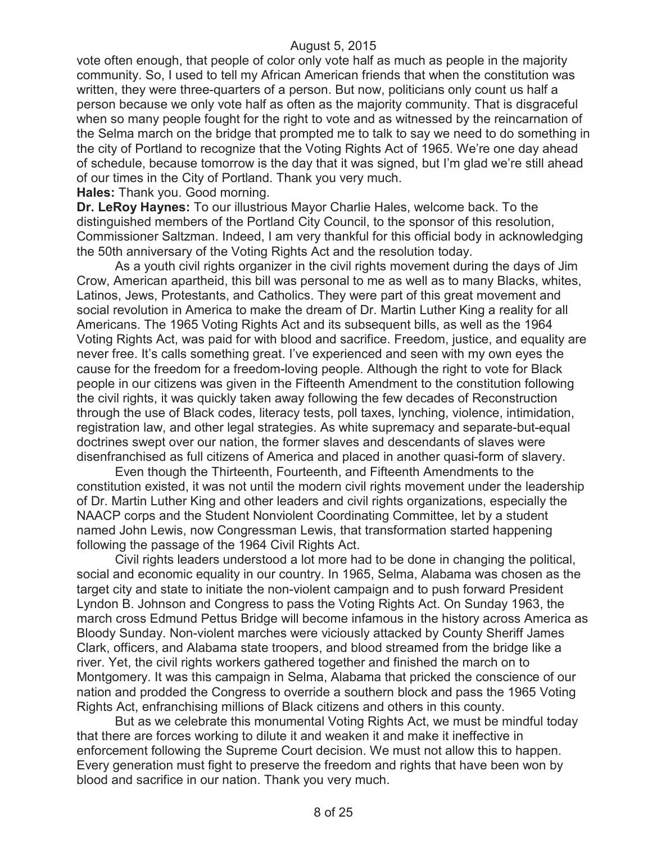vote often enough, that people of color only vote half as much as people in the majority community. So, I used to tell my African American friends that when the constitution was written, they were three-quarters of a person. But now, politicians only count us half a person because we only vote half as often as the majority community. That is disgraceful when so many people fought for the right to vote and as witnessed by the reincarnation of the Selma march on the bridge that prompted me to talk to say we need to do something in the city of Portland to recognize that the Voting Rights Act of 1965. We're one day ahead of schedule, because tomorrow is the day that it was signed, but I'm glad we're still ahead of our times in the City of Portland. Thank you very much.

**Hales:** Thank you. Good morning.

**Dr. LeRoy Haynes:** To our illustrious Mayor Charlie Hales, welcome back. To the distinguished members of the Portland City Council, to the sponsor of this resolution, Commissioner Saltzman. Indeed, I am very thankful for this official body in acknowledging the 50th anniversary of the Voting Rights Act and the resolution today.

As a youth civil rights organizer in the civil rights movement during the days of Jim Crow, American apartheid, this bill was personal to me as well as to many Blacks, whites, Latinos, Jews, Protestants, and Catholics. They were part of this great movement and social revolution in America to make the dream of Dr. Martin Luther King a reality for all Americans. The 1965 Voting Rights Act and its subsequent bills, as well as the 1964 Voting Rights Act, was paid for with blood and sacrifice. Freedom, justice, and equality are never free. It's calls something great. I've experienced and seen with my own eyes the cause for the freedom for a freedom-loving people. Although the right to vote for Black people in our citizens was given in the Fifteenth Amendment to the constitution following the civil rights, it was quickly taken away following the few decades of Reconstruction through the use of Black codes, literacy tests, poll taxes, lynching, violence, intimidation, registration law, and other legal strategies. As white supremacy and separate-but-equal doctrines swept over our nation, the former slaves and descendants of slaves were disenfranchised as full citizens of America and placed in another quasi-form of slavery.

Even though the Thirteenth, Fourteenth, and Fifteenth Amendments to the constitution existed, it was not until the modern civil rights movement under the leadership of Dr. Martin Luther King and other leaders and civil rights organizations, especially the NAACP corps and the Student Nonviolent Coordinating Committee, let by a student named John Lewis, now Congressman Lewis, that transformation started happening following the passage of the 1964 Civil Rights Act.

Civil rights leaders understood a lot more had to be done in changing the political, social and economic equality in our country. In 1965, Selma, Alabama was chosen as the target city and state to initiate the non-violent campaign and to push forward President Lyndon B. Johnson and Congress to pass the Voting Rights Act. On Sunday 1963, the march cross Edmund Pettus Bridge will become infamous in the history across America as Bloody Sunday. Non-violent marches were viciously attacked by County Sheriff James Clark, officers, and Alabama state troopers, and blood streamed from the bridge like a river. Yet, the civil rights workers gathered together and finished the march on to Montgomery. It was this campaign in Selma, Alabama that pricked the conscience of our nation and prodded the Congress to override a southern block and pass the 1965 Voting Rights Act, enfranchising millions of Black citizens and others in this county.

But as we celebrate this monumental Voting Rights Act, we must be mindful today that there are forces working to dilute it and weaken it and make it ineffective in enforcement following the Supreme Court decision. We must not allow this to happen. Every generation must fight to preserve the freedom and rights that have been won by blood and sacrifice in our nation. Thank you very much.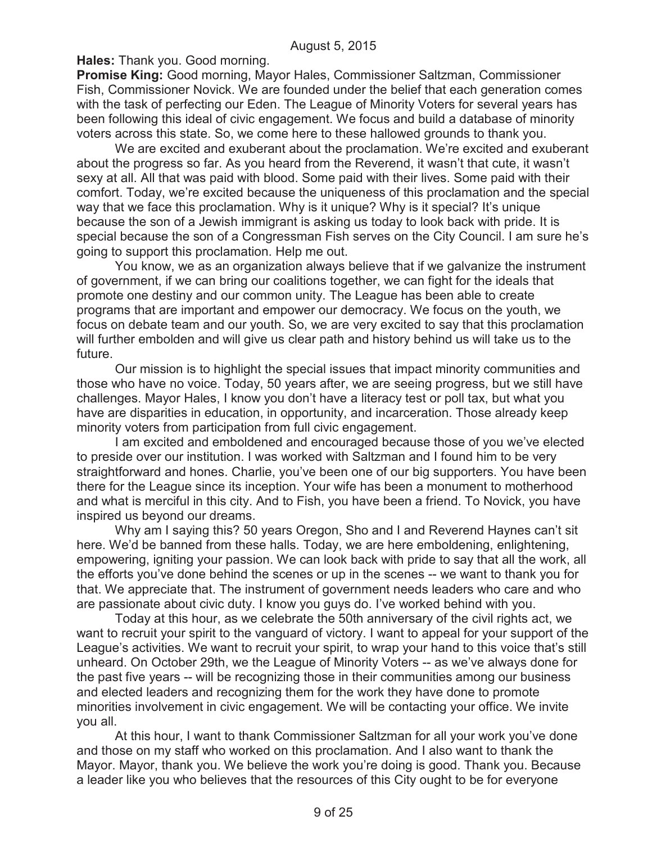**Hales:** Thank you. Good morning.

**Promise King:** Good morning, Mayor Hales, Commissioner Saltzman, Commissioner Fish, Commissioner Novick. We are founded under the belief that each generation comes with the task of perfecting our Eden. The League of Minority Voters for several years has been following this ideal of civic engagement. We focus and build a database of minority voters across this state. So, we come here to these hallowed grounds to thank you.

We are excited and exuberant about the proclamation. We're excited and exuberant about the progress so far. As you heard from the Reverend, it wasn't that cute, it wasn't sexy at all. All that was paid with blood. Some paid with their lives. Some paid with their comfort. Today, we're excited because the uniqueness of this proclamation and the special way that we face this proclamation. Why is it unique? Why is it special? It's unique because the son of a Jewish immigrant is asking us today to look back with pride. It is special because the son of a Congressman Fish serves on the City Council. I am sure he's going to support this proclamation. Help me out.

You know, we as an organization always believe that if we galvanize the instrument of government, if we can bring our coalitions together, we can fight for the ideals that promote one destiny and our common unity. The League has been able to create programs that are important and empower our democracy. We focus on the youth, we focus on debate team and our youth. So, we are very excited to say that this proclamation will further embolden and will give us clear path and history behind us will take us to the future.

Our mission is to highlight the special issues that impact minority communities and those who have no voice. Today, 50 years after, we are seeing progress, but we still have challenges. Mayor Hales, I know you don't have a literacy test or poll tax, but what you have are disparities in education, in opportunity, and incarceration. Those already keep minority voters from participation from full civic engagement.

I am excited and emboldened and encouraged because those of you we've elected to preside over our institution. I was worked with Saltzman and I found him to be very straightforward and hones. Charlie, you've been one of our big supporters. You have been there for the League since its inception. Your wife has been a monument to motherhood and what is merciful in this city. And to Fish, you have been a friend. To Novick, you have inspired us beyond our dreams.

Why am I saying this? 50 years Oregon, Sho and I and Reverend Haynes can't sit here. We'd be banned from these halls. Today, we are here emboldening, enlightening, empowering, igniting your passion. We can look back with pride to say that all the work, all the efforts you've done behind the scenes or up in the scenes -- we want to thank you for that. We appreciate that. The instrument of government needs leaders who care and who are passionate about civic duty. I know you guys do. I've worked behind with you.

Today at this hour, as we celebrate the 50th anniversary of the civil rights act, we want to recruit your spirit to the vanguard of victory. I want to appeal for your support of the League's activities. We want to recruit your spirit, to wrap your hand to this voice that's still unheard. On October 29th, we the League of Minority Voters -- as we've always done for the past five years -- will be recognizing those in their communities among our business and elected leaders and recognizing them for the work they have done to promote minorities involvement in civic engagement. We will be contacting your office. We invite you all.

At this hour, I want to thank Commissioner Saltzman for all your work you've done and those on my staff who worked on this proclamation. And I also want to thank the Mayor. Mayor, thank you. We believe the work you're doing is good. Thank you. Because a leader like you who believes that the resources of this City ought to be for everyone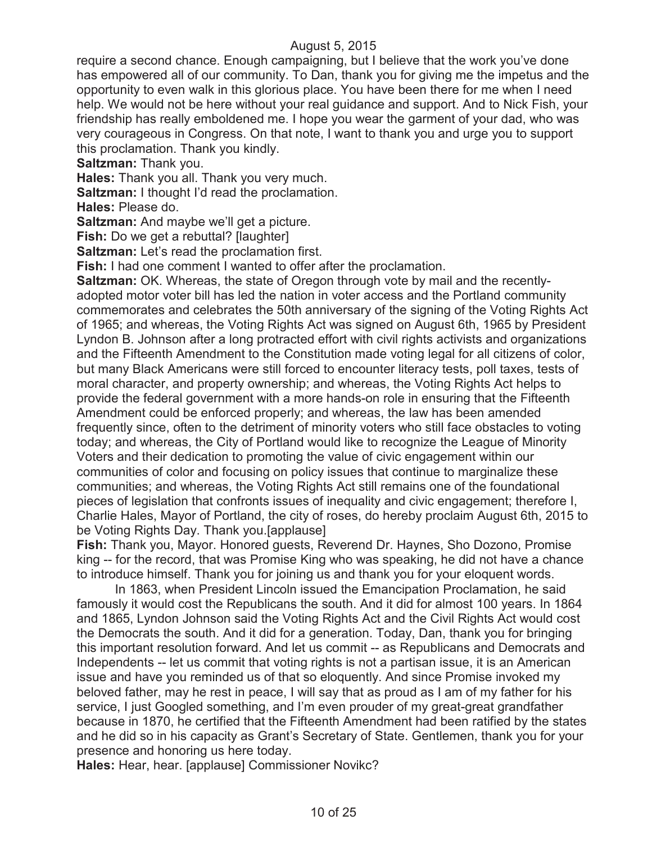require a second chance. Enough campaigning, but I believe that the work you've done has empowered all of our community. To Dan, thank you for giving me the impetus and the opportunity to even walk in this glorious place. You have been there for me when I need help. We would not be here without your real guidance and support. And to Nick Fish, your friendship has really emboldened me. I hope you wear the garment of your dad, who was very courageous in Congress. On that note, I want to thank you and urge you to support this proclamation. Thank you kindly.

**Saltzman:** Thank you.

**Hales:** Thank you all. Thank you very much.

**Saltzman:** I thought I'd read the proclamation.

**Hales:** Please do.

**Saltzman:** And maybe we'll get a picture.

**Fish:** Do we get a rebuttal? [laughter]

**Saltzman:** Let's read the proclamation first.

**Fish:** I had one comment I wanted to offer after the proclamation.

**Saltzman:** OK. Whereas, the state of Oregon through vote by mail and the recentlyadopted motor voter bill has led the nation in voter access and the Portland community commemorates and celebrates the 50th anniversary of the signing of the Voting Rights Act of 1965; and whereas, the Voting Rights Act was signed on August 6th, 1965 by President Lyndon B. Johnson after a long protracted effort with civil rights activists and organizations and the Fifteenth Amendment to the Constitution made voting legal for all citizens of color, but many Black Americans were still forced to encounter literacy tests, poll taxes, tests of moral character, and property ownership; and whereas, the Voting Rights Act helps to provide the federal government with a more hands-on role in ensuring that the Fifteenth Amendment could be enforced properly; and whereas, the law has been amended frequently since, often to the detriment of minority voters who still face obstacles to voting today; and whereas, the City of Portland would like to recognize the League of Minority Voters and their dedication to promoting the value of civic engagement within our communities of color and focusing on policy issues that continue to marginalize these communities; and whereas, the Voting Rights Act still remains one of the foundational pieces of legislation that confronts issues of inequality and civic engagement; therefore I, Charlie Hales, Mayor of Portland, the city of roses, do hereby proclaim August 6th, 2015 to be Voting Rights Day. Thank you.[applause]

**Fish:** Thank you, Mayor. Honored guests, Reverend Dr. Haynes, Sho Dozono, Promise king -- for the record, that was Promise King who was speaking, he did not have a chance to introduce himself. Thank you for joining us and thank you for your eloquent words.

In 1863, when President Lincoln issued the Emancipation Proclamation, he said famously it would cost the Republicans the south. And it did for almost 100 years. In 1864 and 1865, Lyndon Johnson said the Voting Rights Act and the Civil Rights Act would cost the Democrats the south. And it did for a generation. Today, Dan, thank you for bringing this important resolution forward. And let us commit -- as Republicans and Democrats and Independents -- let us commit that voting rights is not a partisan issue, it is an American issue and have you reminded us of that so eloquently. And since Promise invoked my beloved father, may he rest in peace, I will say that as proud as I am of my father for his service, I just Googled something, and I'm even prouder of my great-great grandfather because in 1870, he certified that the Fifteenth Amendment had been ratified by the states and he did so in his capacity as Grant's Secretary of State. Gentlemen, thank you for your presence and honoring us here today.

**Hales:** Hear, hear. [applause] Commissioner Novikc?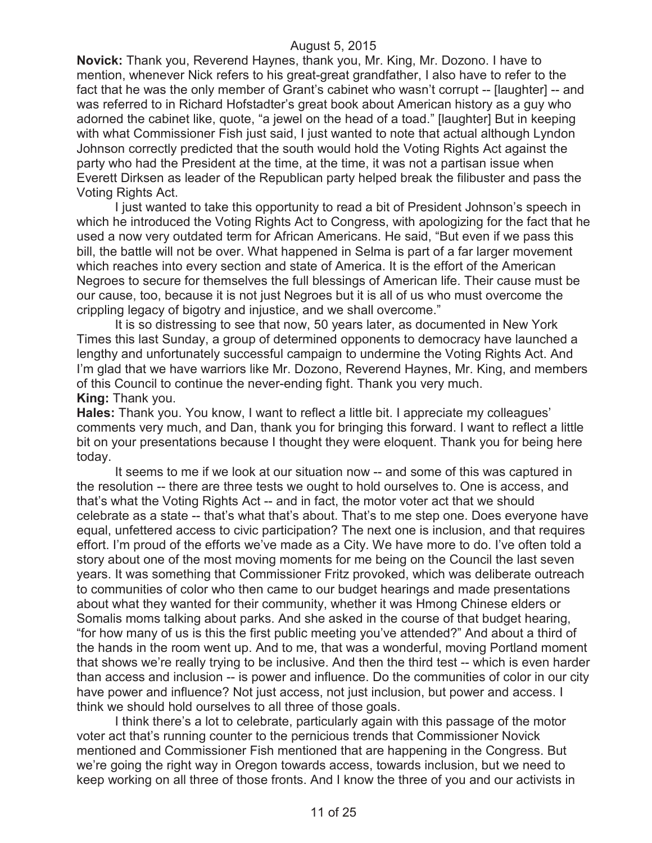**Novick:** Thank you, Reverend Haynes, thank you, Mr. King, Mr. Dozono. I have to mention, whenever Nick refers to his great-great grandfather, I also have to refer to the fact that he was the only member of Grant's cabinet who wasn't corrupt -- [laughter] -- and was referred to in Richard Hofstadter's great book about American history as a guy who adorned the cabinet like, quote, "a jewel on the head of a toad." [laughter] But in keeping with what Commissioner Fish just said, I just wanted to note that actual although Lyndon Johnson correctly predicted that the south would hold the Voting Rights Act against the party who had the President at the time, at the time, it was not a partisan issue when Everett Dirksen as leader of the Republican party helped break the filibuster and pass the Voting Rights Act.

I just wanted to take this opportunity to read a bit of President Johnson's speech in which he introduced the Voting Rights Act to Congress, with apologizing for the fact that he used a now very outdated term for African Americans. He said, "But even if we pass this bill, the battle will not be over. What happened in Selma is part of a far larger movement which reaches into every section and state of America. It is the effort of the American Negroes to secure for themselves the full blessings of American life. Their cause must be our cause, too, because it is not just Negroes but it is all of us who must overcome the crippling legacy of bigotry and injustice, and we shall overcome."

It is so distressing to see that now, 50 years later, as documented in New York Times this last Sunday, a group of determined opponents to democracy have launched a lengthy and unfortunately successful campaign to undermine the Voting Rights Act. And I'm glad that we have warriors like Mr. Dozono, Reverend Haynes, Mr. King, and members of this Council to continue the never-ending fight. Thank you very much. **King:** Thank you.

**Hales:** Thank you. You know, I want to reflect a little bit. I appreciate my colleagues' comments very much, and Dan, thank you for bringing this forward. I want to reflect a little bit on your presentations because I thought they were eloquent. Thank you for being here today.

It seems to me if we look at our situation now -- and some of this was captured in the resolution -- there are three tests we ought to hold ourselves to. One is access, and that's what the Voting Rights Act -- and in fact, the motor voter act that we should celebrate as a state -- that's what that's about. That's to me step one. Does everyone have equal, unfettered access to civic participation? The next one is inclusion, and that requires effort. I'm proud of the efforts we've made as a City. We have more to do. I've often told a story about one of the most moving moments for me being on the Council the last seven years. It was something that Commissioner Fritz provoked, which was deliberate outreach to communities of color who then came to our budget hearings and made presentations about what they wanted for their community, whether it was Hmong Chinese elders or Somalis moms talking about parks. And she asked in the course of that budget hearing, "for how many of us is this the first public meeting you've attended?" And about a third of the hands in the room went up. And to me, that was a wonderful, moving Portland moment that shows we're really trying to be inclusive. And then the third test -- which is even harder than access and inclusion -- is power and influence. Do the communities of color in our city have power and influence? Not just access, not just inclusion, but power and access. I think we should hold ourselves to all three of those goals.

I think there's a lot to celebrate, particularly again with this passage of the motor voter act that's running counter to the pernicious trends that Commissioner Novick mentioned and Commissioner Fish mentioned that are happening in the Congress. But we're going the right way in Oregon towards access, towards inclusion, but we need to keep working on all three of those fronts. And I know the three of you and our activists in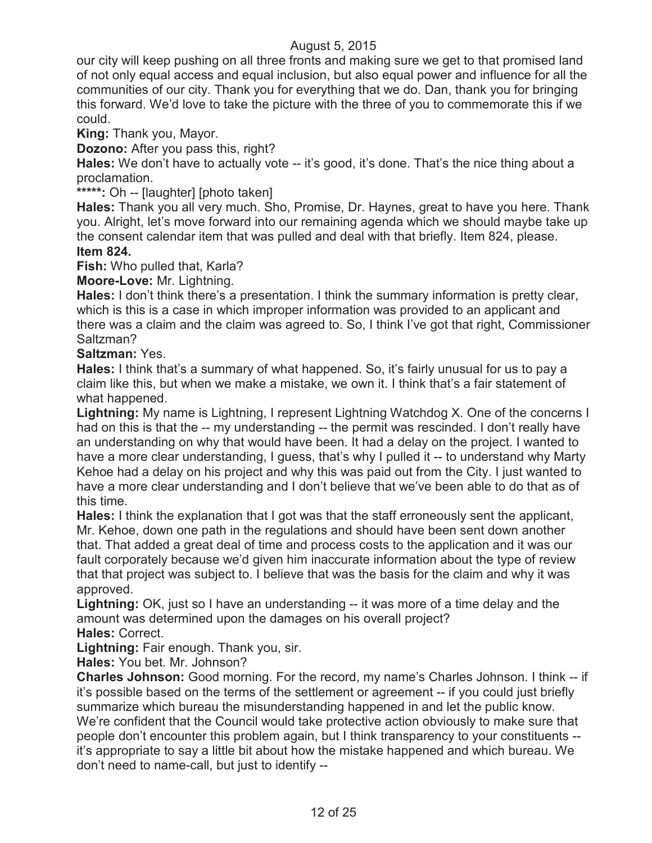our city will keep pushing on all three fronts and making sure we get to that promised land of not only equal access and equal inclusion, but also equal power and influence for all the communities of our city. Thank you for everything that we do. Dan, thank you for bringing this forward. We'd love to take the picture with the three of you to commemorate this if we could.

**King:** Thank you, Mayor.

**Dozono:** After you pass this, right?

**Hales:** We don't have to actually vote -- it's good, it's done. That's the nice thing about a proclamation.

**\*\*\*\*\*:** Oh -- [laughter] [photo taken]

**Hales:** Thank you all very much. Sho, Promise, Dr. Haynes, great to have you here. Thank you. Alright, let's move forward into our remaining agenda which we should maybe take up the consent calendar item that was pulled and deal with that briefly. Item 824, please. **Item 824.**

**Fish:** Who pulled that, Karla?

**Moore-Love:** Mr. Lightning.

**Hales:** I don't think there's a presentation. I think the summary information is pretty clear, which is this is a case in which improper information was provided to an applicant and there was a claim and the claim was agreed to. So, I think I've got that right, Commissioner Saltzman?

**Saltzman:** Yes.

**Hales:** I think that's a summary of what happened. So, it's fairly unusual for us to pay a claim like this, but when we make a mistake, we own it. I think that's a fair statement of what happened.

**Lightning:** My name is Lightning, I represent Lightning Watchdog X. One of the concerns I had on this is that the -- my understanding -- the permit was rescinded. I don't really have an understanding on why that would have been. It had a delay on the project. I wanted to have a more clear understanding, I guess, that's why I pulled it -- to understand why Marty Kehoe had a delay on his project and why this was paid out from the City. I just wanted to have a more clear understanding and I don't believe that we've been able to do that as of this time.

**Hales:** I think the explanation that I got was that the staff erroneously sent the applicant, Mr. Kehoe, down one path in the regulations and should have been sent down another that. That added a great deal of time and process costs to the application and it was our fault corporately because we'd given him inaccurate information about the type of review that that project was subject to. I believe that was the basis for the claim and why it was approved.

**Lightning:** OK, just so I have an understanding -- it was more of a time delay and the amount was determined upon the damages on his overall project?

**Hales:** Correct.

**Lightning:** Fair enough. Thank you, sir.

**Hales:** You bet. Mr. Johnson?

**Charles Johnson:** Good morning. For the record, my name's Charles Johnson. I think -- if it's possible based on the terms of the settlement or agreement -- if you could just briefly summarize which bureau the misunderstanding happened in and let the public know. We're confident that the Council would take protective action obviously to make sure that people don't encounter this problem again, but I think transparency to your constituents - it's appropriate to say a little bit about how the mistake happened and which bureau. We don't need to name-call, but just to identify --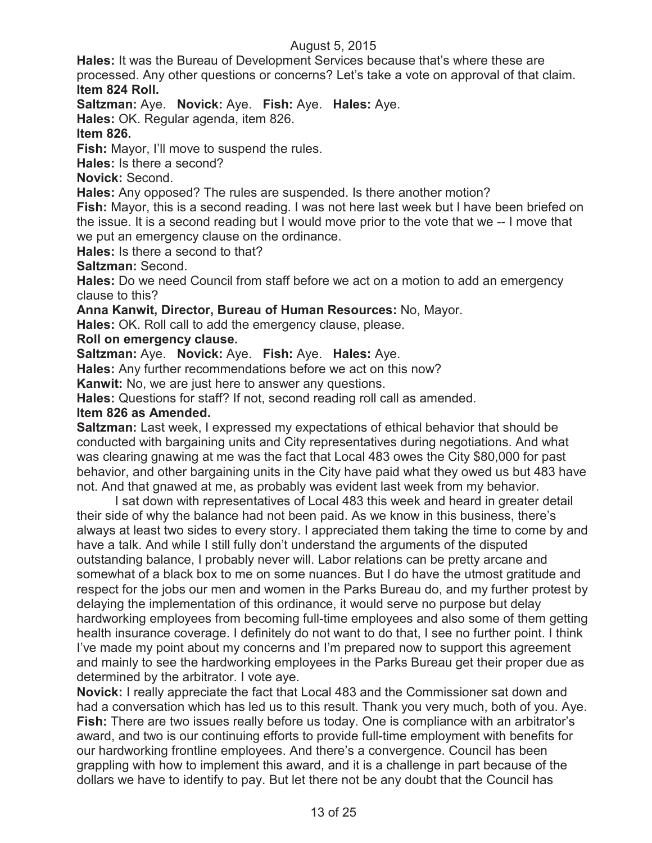**Hales:** It was the Bureau of Development Services because that's where these are processed. Any other questions or concerns? Let's take a vote on approval of that claim. **Item 824 Roll.**

**Saltzman:** Aye. **Novick:** Aye. **Fish:** Aye. **Hales:** Aye.

**Hales:** OK. Regular agenda, item 826.

### **Item 826.**

**Fish:** Mayor, I'll move to suspend the rules.

**Hales:** Is there a second?

**Novick:** Second.

**Hales:** Any opposed? The rules are suspended. Is there another motion?

**Fish:** Mayor, this is a second reading. I was not here last week but I have been briefed on the issue. It is a second reading but I would move prior to the vote that we -- I move that we put an emergency clause on the ordinance.

**Hales:** Is there a second to that?

**Saltzman:** Second.

**Hales:** Do we need Council from staff before we act on a motion to add an emergency clause to this?

**Anna Kanwit, Director, Bureau of Human Resources:** No, Mayor.

**Hales:** OK. Roll call to add the emergency clause, please.

#### **Roll on emergency clause.**

**Saltzman:** Aye. **Novick:** Aye. **Fish:** Aye. **Hales:** Aye.

**Hales:** Any further recommendations before we act on this now?

**Kanwit:** No, we are just here to answer any questions.

**Hales:** Questions for staff? If not, second reading roll call as amended.

### **Item 826 as Amended.**

**Saltzman:** Last week, I expressed my expectations of ethical behavior that should be conducted with bargaining units and City representatives during negotiations. And what was clearing gnawing at me was the fact that Local 483 owes the City \$80,000 for past behavior, and other bargaining units in the City have paid what they owed us but 483 have not. And that gnawed at me, as probably was evident last week from my behavior.

I sat down with representatives of Local 483 this week and heard in greater detail their side of why the balance had not been paid. As we know in this business, there's always at least two sides to every story. I appreciated them taking the time to come by and have a talk. And while I still fully don't understand the arguments of the disputed outstanding balance, I probably never will. Labor relations can be pretty arcane and somewhat of a black box to me on some nuances. But I do have the utmost gratitude and respect for the jobs our men and women in the Parks Bureau do, and my further protest by delaying the implementation of this ordinance, it would serve no purpose but delay hardworking employees from becoming full-time employees and also some of them getting health insurance coverage. I definitely do not want to do that, I see no further point. I think I've made my point about my concerns and I'm prepared now to support this agreement and mainly to see the hardworking employees in the Parks Bureau get their proper due as determined by the arbitrator. I vote aye.

**Novick:** I really appreciate the fact that Local 483 and the Commissioner sat down and had a conversation which has led us to this result. Thank you very much, both of you. Aye. **Fish:** There are two issues really before us today. One is compliance with an arbitrator's award, and two is our continuing efforts to provide full-time employment with benefits for our hardworking frontline employees. And there's a convergence. Council has been grappling with how to implement this award, and it is a challenge in part because of the dollars we have to identify to pay. But let there not be any doubt that the Council has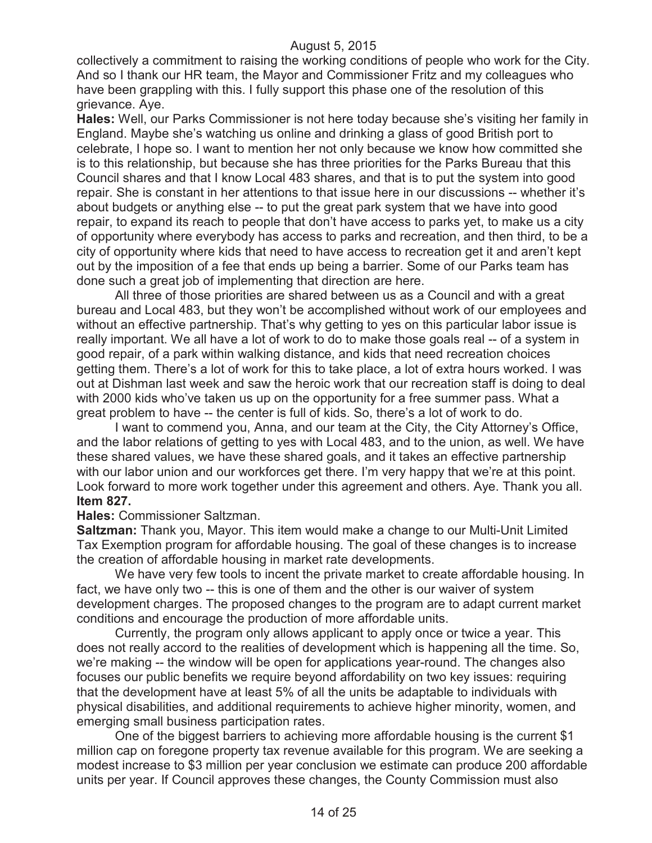collectively a commitment to raising the working conditions of people who work for the City. And so I thank our HR team, the Mayor and Commissioner Fritz and my colleagues who have been grappling with this. I fully support this phase one of the resolution of this grievance. Aye.

**Hales:** Well, our Parks Commissioner is not here today because she's visiting her family in England. Maybe she's watching us online and drinking a glass of good British port to celebrate, I hope so. I want to mention her not only because we know how committed she is to this relationship, but because she has three priorities for the Parks Bureau that this Council shares and that I know Local 483 shares, and that is to put the system into good repair. She is constant in her attentions to that issue here in our discussions -- whether it's about budgets or anything else -- to put the great park system that we have into good repair, to expand its reach to people that don't have access to parks yet, to make us a city of opportunity where everybody has access to parks and recreation, and then third, to be a city of opportunity where kids that need to have access to recreation get it and aren't kept out by the imposition of a fee that ends up being a barrier. Some of our Parks team has done such a great job of implementing that direction are here.

All three of those priorities are shared between us as a Council and with a great bureau and Local 483, but they won't be accomplished without work of our employees and without an effective partnership. That's why getting to yes on this particular labor issue is really important. We all have a lot of work to do to make those goals real -- of a system in good repair, of a park within walking distance, and kids that need recreation choices getting them. There's a lot of work for this to take place, a lot of extra hours worked. I was out at Dishman last week and saw the heroic work that our recreation staff is doing to deal with 2000 kids who've taken us up on the opportunity for a free summer pass. What a great problem to have -- the center is full of kids. So, there's a lot of work to do.

I want to commend you, Anna, and our team at the City, the City Attorney's Office, and the labor relations of getting to yes with Local 483, and to the union, as well. We have these shared values, we have these shared goals, and it takes an effective partnership with our labor union and our workforces get there. I'm very happy that we're at this point. Look forward to more work together under this agreement and others. Aye. Thank you all. **Item 827.**

#### **Hales:** Commissioner Saltzman.

**Saltzman:** Thank you, Mayor. This item would make a change to our Multi-Unit Limited Tax Exemption program for affordable housing. The goal of these changes is to increase the creation of affordable housing in market rate developments.

We have very few tools to incent the private market to create affordable housing. In fact, we have only two -- this is one of them and the other is our waiver of system development charges. The proposed changes to the program are to adapt current market conditions and encourage the production of more affordable units.

Currently, the program only allows applicant to apply once or twice a year. This does not really accord to the realities of development which is happening all the time. So, we're making -- the window will be open for applications year-round. The changes also focuses our public benefits we require beyond affordability on two key issues: requiring that the development have at least 5% of all the units be adaptable to individuals with physical disabilities, and additional requirements to achieve higher minority, women, and emerging small business participation rates.

One of the biggest barriers to achieving more affordable housing is the current \$1 million cap on foregone property tax revenue available for this program. We are seeking a modest increase to \$3 million per year conclusion we estimate can produce 200 affordable units per year. If Council approves these changes, the County Commission must also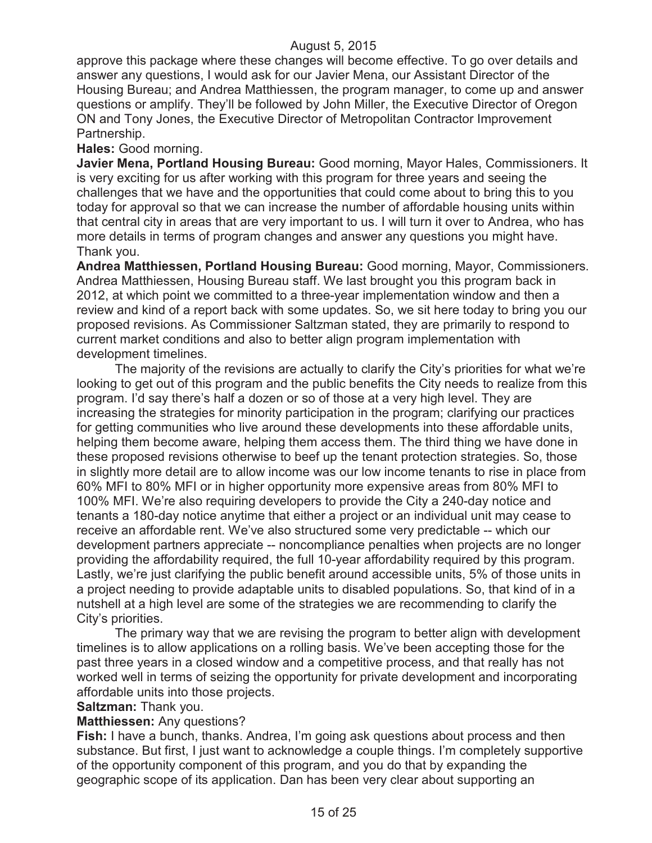approve this package where these changes will become effective. To go over details and answer any questions, I would ask for our Javier Mena, our Assistant Director of the Housing Bureau; and Andrea Matthiessen, the program manager, to come up and answer questions or amplify. They'll be followed by John Miller, the Executive Director of Oregon ON and Tony Jones, the Executive Director of Metropolitan Contractor Improvement Partnership.

#### **Hales:** Good morning.

**Javier Mena, Portland Housing Bureau:** Good morning, Mayor Hales, Commissioners. It is very exciting for us after working with this program for three years and seeing the challenges that we have and the opportunities that could come about to bring this to you today for approval so that we can increase the number of affordable housing units within that central city in areas that are very important to us. I will turn it over to Andrea, who has more details in terms of program changes and answer any questions you might have. Thank you.

**Andrea Matthiessen, Portland Housing Bureau:** Good morning, Mayor, Commissioners. Andrea Matthiessen, Housing Bureau staff. We last brought you this program back in 2012, at which point we committed to a three-year implementation window and then a review and kind of a report back with some updates. So, we sit here today to bring you our proposed revisions. As Commissioner Saltzman stated, they are primarily to respond to current market conditions and also to better align program implementation with development timelines.

The majority of the revisions are actually to clarify the City's priorities for what we're looking to get out of this program and the public benefits the City needs to realize from this program. I'd say there's half a dozen or so of those at a very high level. They are increasing the strategies for minority participation in the program; clarifying our practices for getting communities who live around these developments into these affordable units, helping them become aware, helping them access them. The third thing we have done in these proposed revisions otherwise to beef up the tenant protection strategies. So, those in slightly more detail are to allow income was our low income tenants to rise in place from 60% MFI to 80% MFI or in higher opportunity more expensive areas from 80% MFI to 100% MFI. We're also requiring developers to provide the City a 240-day notice and tenants a 180-day notice anytime that either a project or an individual unit may cease to receive an affordable rent. We've also structured some very predictable -- which our development partners appreciate -- noncompliance penalties when projects are no longer providing the affordability required, the full 10-year affordability required by this program. Lastly, we're just clarifying the public benefit around accessible units, 5% of those units in a project needing to provide adaptable units to disabled populations. So, that kind of in a nutshell at a high level are some of the strategies we are recommending to clarify the City's priorities.

The primary way that we are revising the program to better align with development timelines is to allow applications on a rolling basis. We've been accepting those for the past three years in a closed window and a competitive process, and that really has not worked well in terms of seizing the opportunity for private development and incorporating affordable units into those projects.

**Saltzman:** Thank you.

### **Matthiessen:** Any questions?

**Fish:** I have a bunch, thanks. Andrea, I'm going ask questions about process and then substance. But first, I just want to acknowledge a couple things. I'm completely supportive of the opportunity component of this program, and you do that by expanding the geographic scope of its application. Dan has been very clear about supporting an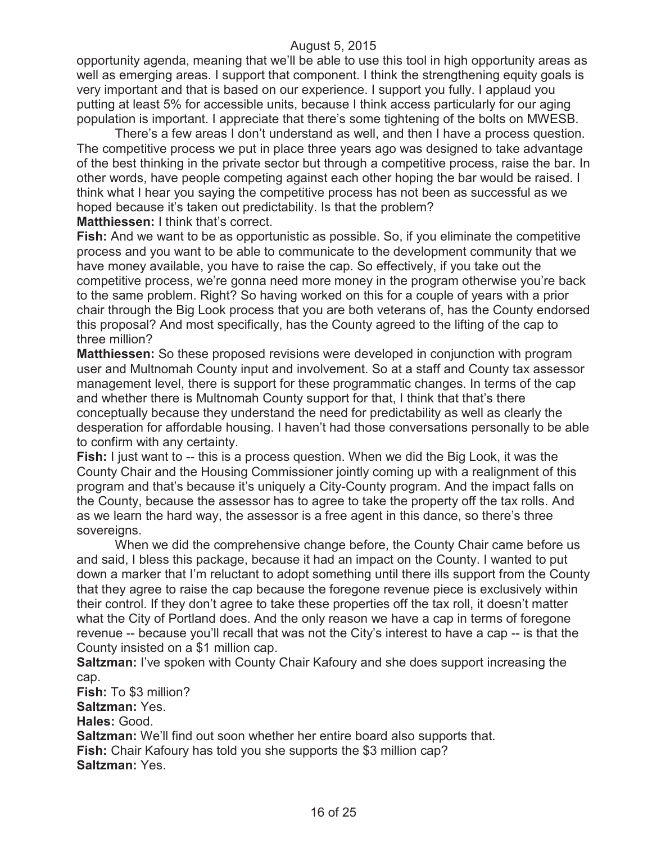opportunity agenda, meaning that we'll be able to use this tool in high opportunity areas as well as emerging areas. I support that component. I think the strengthening equity goals is very important and that is based on our experience. I support you fully. I applaud you putting at least 5% for accessible units, because I think access particularly for our aging population is important. I appreciate that there's some tightening of the bolts on MWESB.

There's a few areas I don't understand as well, and then I have a process question. The competitive process we put in place three years ago was designed to take advantage of the best thinking in the private sector but through a competitive process, raise the bar. In other words, have people competing against each other hoping the bar would be raised. I think what I hear you saying the competitive process has not been as successful as we hoped because it's taken out predictability. Is that the problem?

**Matthiessen:** I think that's correct.

**Fish:** And we want to be as opportunistic as possible. So, if you eliminate the competitive process and you want to be able to communicate to the development community that we have money available, you have to raise the cap. So effectively, if you take out the competitive process, we're gonna need more money in the program otherwise you're back to the same problem. Right? So having worked on this for a couple of years with a prior chair through the Big Look process that you are both veterans of, has the County endorsed this proposal? And most specifically, has the County agreed to the lifting of the cap to three million?

**Matthiessen:** So these proposed revisions were developed in conjunction with program user and Multnomah County input and involvement. So at a staff and County tax assessor management level, there is support for these programmatic changes. In terms of the cap and whether there is Multnomah County support for that, I think that that's there conceptually because they understand the need for predictability as well as clearly the desperation for affordable housing. I haven't had those conversations personally to be able to confirm with any certainty.

**Fish:** I just want to -- this is a process question. When we did the Big Look, it was the County Chair and the Housing Commissioner jointly coming up with a realignment of this program and that's because it's uniquely a City-County program. And the impact falls on the County, because the assessor has to agree to take the property off the tax rolls. And as we learn the hard way, the assessor is a free agent in this dance, so there's three sovereigns.

When we did the comprehensive change before, the County Chair came before us and said, I bless this package, because it had an impact on the County. I wanted to put down a marker that I'm reluctant to adopt something until there ills support from the County that they agree to raise the cap because the foregone revenue piece is exclusively within their control. If they don't agree to take these properties off the tax roll, it doesn't matter what the City of Portland does. And the only reason we have a cap in terms of foregone revenue -- because you'll recall that was not the City's interest to have a cap -- is that the County insisted on a \$1 million cap.

**Saltzman:** I've spoken with County Chair Kafoury and she does support increasing the cap.

**Fish:** To \$3 million?

**Saltzman:** Yes.

**Hales:** Good.

**Saltzman:** We'll find out soon whether her entire board also supports that. **Fish:** Chair Kafoury has told you she supports the \$3 million cap? **Saltzman:** Yes.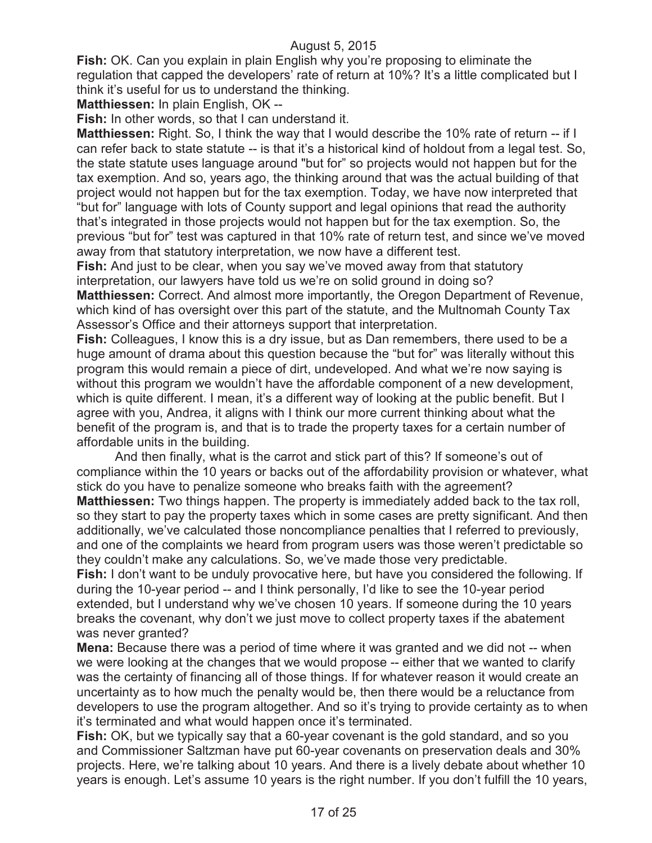**Fish:** OK. Can you explain in plain English why you're proposing to eliminate the regulation that capped the developers' rate of return at 10%? It's a little complicated but I think it's useful for us to understand the thinking.

**Matthiessen:** In plain English, OK --

**Fish:** In other words, so that I can understand it.

**Matthiessen:** Right. So, I think the way that I would describe the 10% rate of return -- if I can refer back to state statute -- is that it's a historical kind of holdout from a legal test. So, the state statute uses language around "but for" so projects would not happen but for the tax exemption. And so, years ago, the thinking around that was the actual building of that project would not happen but for the tax exemption. Today, we have now interpreted that "but for" language with lots of County support and legal opinions that read the authority that's integrated in those projects would not happen but for the tax exemption. So, the previous "but for" test was captured in that 10% rate of return test, and since we've moved away from that statutory interpretation, we now have a different test.

**Fish:** And just to be clear, when you say we've moved away from that statutory interpretation, our lawyers have told us we're on solid ground in doing so?

**Matthiessen:** Correct. And almost more importantly, the Oregon Department of Revenue, which kind of has oversight over this part of the statute, and the Multnomah County Tax Assessor's Office and their attorneys support that interpretation.

**Fish:** Colleagues, I know this is a dry issue, but as Dan remembers, there used to be a huge amount of drama about this question because the "but for" was literally without this program this would remain a piece of dirt, undeveloped. And what we're now saying is without this program we wouldn't have the affordable component of a new development, which is quite different. I mean, it's a different way of looking at the public benefit. But I agree with you, Andrea, it aligns with I think our more current thinking about what the benefit of the program is, and that is to trade the property taxes for a certain number of affordable units in the building.

And then finally, what is the carrot and stick part of this? If someone's out of compliance within the 10 years or backs out of the affordability provision or whatever, what stick do you have to penalize someone who breaks faith with the agreement? **Matthiessen:** Two things happen. The property is immediately added back to the tax roll, so they start to pay the property taxes which in some cases are pretty significant. And then additionally, we've calculated those noncompliance penalties that I referred to previously, and one of the complaints we heard from program users was those weren't predictable so they couldn't make any calculations. So, we've made those very predictable.

**Fish:** I don't want to be unduly provocative here, but have you considered the following. If during the 10-year period -- and I think personally, I'd like to see the 10-year period extended, but I understand why we've chosen 10 years. If someone during the 10 years breaks the covenant, why don't we just move to collect property taxes if the abatement was never granted?

**Mena:** Because there was a period of time where it was granted and we did not -- when we were looking at the changes that we would propose -- either that we wanted to clarify was the certainty of financing all of those things. If for whatever reason it would create an uncertainty as to how much the penalty would be, then there would be a reluctance from developers to use the program altogether. And so it's trying to provide certainty as to when it's terminated and what would happen once it's terminated.

**Fish:** OK, but we typically say that a 60-year covenant is the gold standard, and so you and Commissioner Saltzman have put 60-year covenants on preservation deals and 30% projects. Here, we're talking about 10 years. And there is a lively debate about whether 10 years is enough. Let's assume 10 years is the right number. If you don't fulfill the 10 years,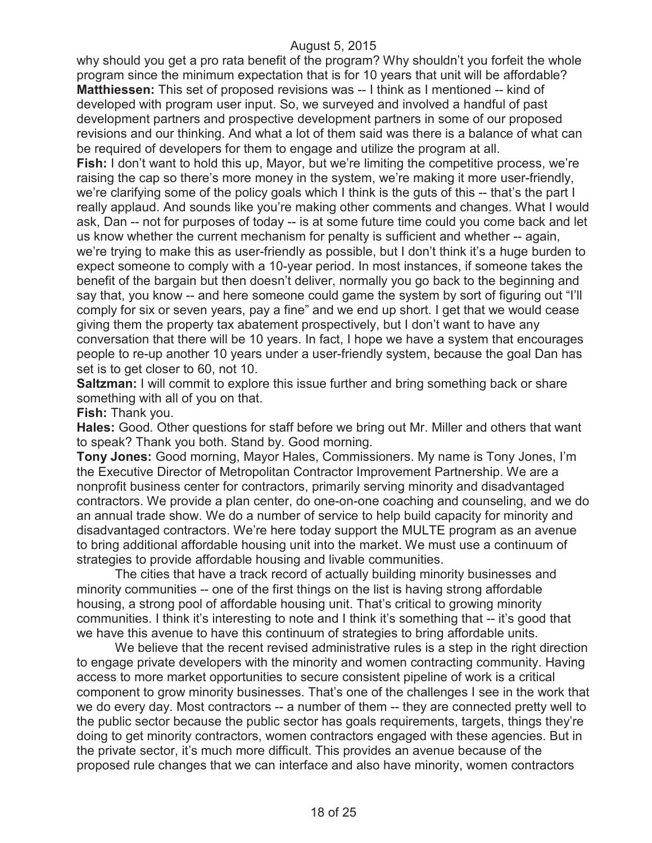why should you get a pro rata benefit of the program? Why shouldn't you forfeit the whole program since the minimum expectation that is for 10 years that unit will be affordable? **Matthiessen:** This set of proposed revisions was -- I think as I mentioned -- kind of developed with program user input. So, we surveyed and involved a handful of past development partners and prospective development partners in some of our proposed revisions and our thinking. And what a lot of them said was there is a balance of what can be required of developers for them to engage and utilize the program at all.

**Fish:** I don't want to hold this up, Mayor, but we're limiting the competitive process, we're raising the cap so there's more money in the system, we're making it more user-friendly, we're clarifying some of the policy goals which I think is the guts of this -- that's the part I really applaud. And sounds like you're making other comments and changes. What I would ask, Dan -- not for purposes of today -- is at some future time could you come back and let us know whether the current mechanism for penalty is sufficient and whether -- again, we're trying to make this as user-friendly as possible, but I don't think it's a huge burden to expect someone to comply with a 10-year period. In most instances, if someone takes the benefit of the bargain but then doesn't deliver, normally you go back to the beginning and say that, you know -- and here someone could game the system by sort of figuring out "I'll comply for six or seven years, pay a fine" and we end up short. I get that we would cease giving them the property tax abatement prospectively, but I don't want to have any conversation that there will be 10 years. In fact, I hope we have a system that encourages people to re-up another 10 years under a user-friendly system, because the goal Dan has set is to get closer to 60, not 10.

**Saltzman:** I will commit to explore this issue further and bring something back or share something with all of you on that.

### **Fish:** Thank you.

**Hales:** Good. Other questions for staff before we bring out Mr. Miller and others that want to speak? Thank you both. Stand by. Good morning.

**Tony Jones:** Good morning, Mayor Hales, Commissioners. My name is Tony Jones, I'm the Executive Director of Metropolitan Contractor Improvement Partnership. We are a nonprofit business center for contractors, primarily serving minority and disadvantaged contractors. We provide a plan center, do one-on-one coaching and counseling, and we do an annual trade show. We do a number of service to help build capacity for minority and disadvantaged contractors. We're here today support the MULTE program as an avenue to bring additional affordable housing unit into the market. We must use a continuum of strategies to provide affordable housing and livable communities.

The cities that have a track record of actually building minority businesses and minority communities -- one of the first things on the list is having strong affordable housing, a strong pool of affordable housing unit. That's critical to growing minority communities. I think it's interesting to note and I think it's something that -- it's good that we have this avenue to have this continuum of strategies to bring affordable units.

We believe that the recent revised administrative rules is a step in the right direction to engage private developers with the minority and women contracting community. Having access to more market opportunities to secure consistent pipeline of work is a critical component to grow minority businesses. That's one of the challenges I see in the work that we do every day. Most contractors -- a number of them -- they are connected pretty well to the public sector because the public sector has goals requirements, targets, things they're doing to get minority contractors, women contractors engaged with these agencies. But in the private sector, it's much more difficult. This provides an avenue because of the proposed rule changes that we can interface and also have minority, women contractors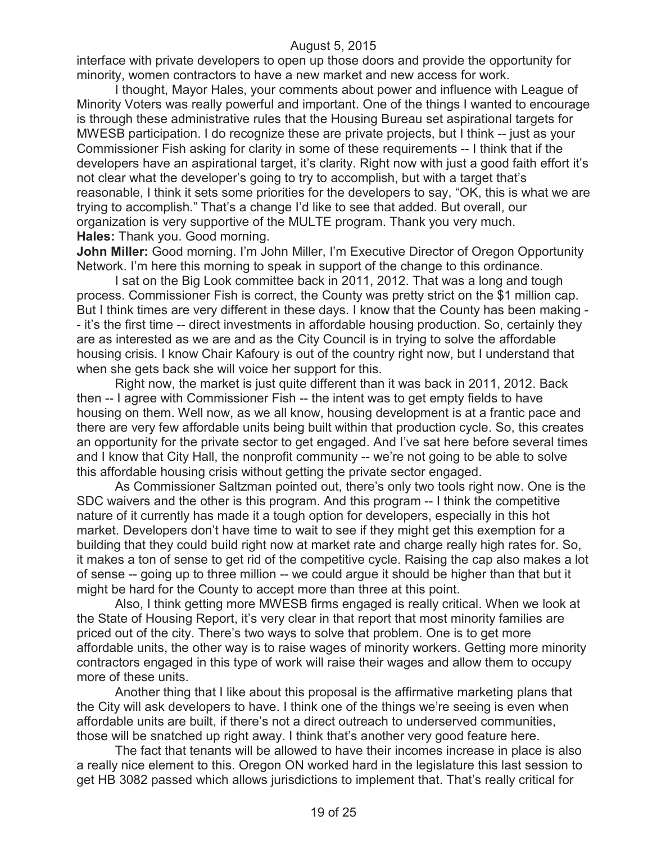interface with private developers to open up those doors and provide the opportunity for minority, women contractors to have a new market and new access for work.

I thought, Mayor Hales, your comments about power and influence with League of Minority Voters was really powerful and important. One of the things I wanted to encourage is through these administrative rules that the Housing Bureau set aspirational targets for MWESB participation. I do recognize these are private projects, but I think -- just as your Commissioner Fish asking for clarity in some of these requirements -- I think that if the developers have an aspirational target, it's clarity. Right now with just a good faith effort it's not clear what the developer's going to try to accomplish, but with a target that's reasonable, I think it sets some priorities for the developers to say, "OK, this is what we are trying to accomplish." That's a change I'd like to see that added. But overall, our organization is very supportive of the MULTE program. Thank you very much. **Hales:** Thank you. Good morning.

**John Miller:** Good morning. I'm John Miller, I'm Executive Director of Oregon Opportunity Network. I'm here this morning to speak in support of the change to this ordinance.

I sat on the Big Look committee back in 2011, 2012. That was a long and tough process. Commissioner Fish is correct, the County was pretty strict on the \$1 million cap. But I think times are very different in these days. I know that the County has been making - - it's the first time -- direct investments in affordable housing production. So, certainly they are as interested as we are and as the City Council is in trying to solve the affordable housing crisis. I know Chair Kafoury is out of the country right now, but I understand that when she gets back she will voice her support for this.

Right now, the market is just quite different than it was back in 2011, 2012. Back then -- I agree with Commissioner Fish -- the intent was to get empty fields to have housing on them. Well now, as we all know, housing development is at a frantic pace and there are very few affordable units being built within that production cycle. So, this creates an opportunity for the private sector to get engaged. And I've sat here before several times and I know that City Hall, the nonprofit community -- we're not going to be able to solve this affordable housing crisis without getting the private sector engaged.

As Commissioner Saltzman pointed out, there's only two tools right now. One is the SDC waivers and the other is this program. And this program -- I think the competitive nature of it currently has made it a tough option for developers, especially in this hot market. Developers don't have time to wait to see if they might get this exemption for a building that they could build right now at market rate and charge really high rates for. So, it makes a ton of sense to get rid of the competitive cycle. Raising the cap also makes a lot of sense -- going up to three million -- we could argue it should be higher than that but it might be hard for the County to accept more than three at this point.

Also, I think getting more MWESB firms engaged is really critical. When we look at the State of Housing Report, it's very clear in that report that most minority families are priced out of the city. There's two ways to solve that problem. One is to get more affordable units, the other way is to raise wages of minority workers. Getting more minority contractors engaged in this type of work will raise their wages and allow them to occupy more of these units.

Another thing that I like about this proposal is the affirmative marketing plans that the City will ask developers to have. I think one of the things we're seeing is even when affordable units are built, if there's not a direct outreach to underserved communities, those will be snatched up right away. I think that's another very good feature here.

The fact that tenants will be allowed to have their incomes increase in place is also a really nice element to this. Oregon ON worked hard in the legislature this last session to get HB 3082 passed which allows jurisdictions to implement that. That's really critical for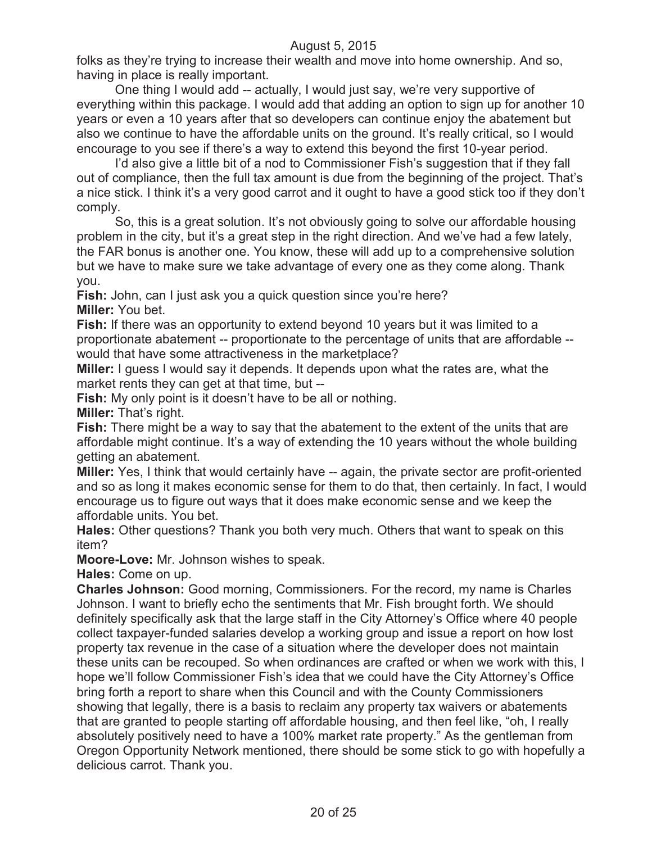folks as they're trying to increase their wealth and move into home ownership. And so, having in place is really important.

One thing I would add -- actually, I would just say, we're very supportive of everything within this package. I would add that adding an option to sign up for another 10 years or even a 10 years after that so developers can continue enjoy the abatement but also we continue to have the affordable units on the ground. It's really critical, so I would encourage to you see if there's a way to extend this beyond the first 10-year period.

I'd also give a little bit of a nod to Commissioner Fish's suggestion that if they fall out of compliance, then the full tax amount is due from the beginning of the project. That's a nice stick. I think it's a very good carrot and it ought to have a good stick too if they don't comply.

So, this is a great solution. It's not obviously going to solve our affordable housing problem in the city, but it's a great step in the right direction. And we've had a few lately, the FAR bonus is another one. You know, these will add up to a comprehensive solution but we have to make sure we take advantage of every one as they come along. Thank you.

**Fish:** John, can I just ask you a quick question since you're here? **Miller:** You bet.

**Fish:** If there was an opportunity to extend beyond 10 years but it was limited to a proportionate abatement -- proportionate to the percentage of units that are affordable - would that have some attractiveness in the marketplace?

**Miller:** I guess I would say it depends. It depends upon what the rates are, what the market rents they can get at that time, but --

**Fish:** My only point is it doesn't have to be all or nothing.

**Miller:** That's right.

**Fish:** There might be a way to say that the abatement to the extent of the units that are affordable might continue. It's a way of extending the 10 years without the whole building getting an abatement.

**Miller:** Yes, I think that would certainly have -- again, the private sector are profit-oriented and so as long it makes economic sense for them to do that, then certainly. In fact, I would encourage us to figure out ways that it does make economic sense and we keep the affordable units. You bet.

**Hales:** Other questions? Thank you both very much. Others that want to speak on this item?

**Moore-Love:** Mr. Johnson wishes to speak.

**Hales:** Come on up.

**Charles Johnson:** Good morning, Commissioners. For the record, my name is Charles Johnson. I want to briefly echo the sentiments that Mr. Fish brought forth. We should definitely specifically ask that the large staff in the City Attorney's Office where 40 people collect taxpayer-funded salaries develop a working group and issue a report on how lost property tax revenue in the case of a situation where the developer does not maintain these units can be recouped. So when ordinances are crafted or when we work with this, I hope we'll follow Commissioner Fish's idea that we could have the City Attorney's Office bring forth a report to share when this Council and with the County Commissioners showing that legally, there is a basis to reclaim any property tax waivers or abatements that are granted to people starting off affordable housing, and then feel like, "oh, I really absolutely positively need to have a 100% market rate property." As the gentleman from Oregon Opportunity Network mentioned, there should be some stick to go with hopefully a delicious carrot. Thank you.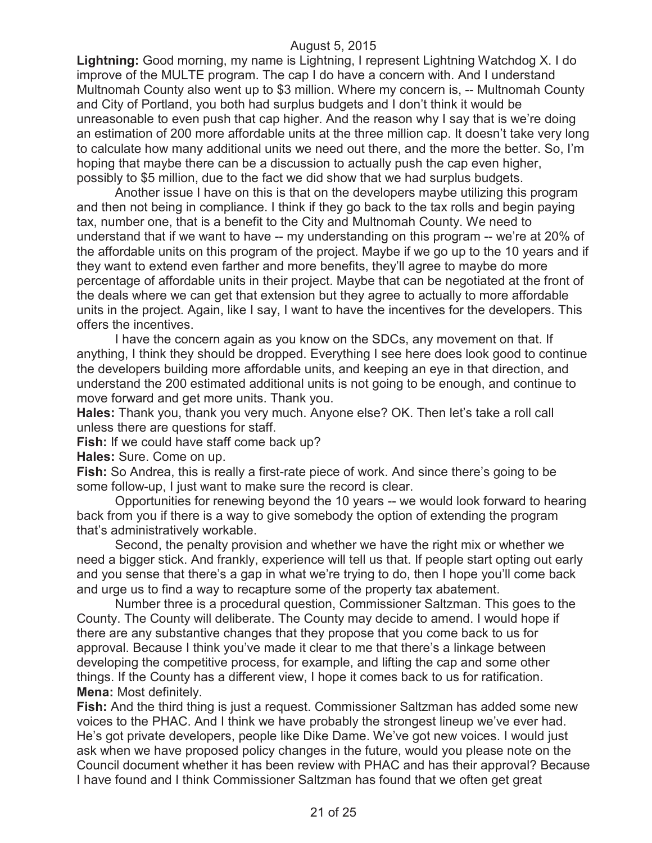**Lightning:** Good morning, my name is Lightning, I represent Lightning Watchdog X. I do improve of the MULTE program. The cap I do have a concern with. And I understand Multnomah County also went up to \$3 million. Where my concern is, -- Multnomah County and City of Portland, you both had surplus budgets and I don't think it would be unreasonable to even push that cap higher. And the reason why I say that is we're doing an estimation of 200 more affordable units at the three million cap. It doesn't take very long to calculate how many additional units we need out there, and the more the better. So, I'm hoping that maybe there can be a discussion to actually push the cap even higher, possibly to \$5 million, due to the fact we did show that we had surplus budgets.

Another issue I have on this is that on the developers maybe utilizing this program and then not being in compliance. I think if they go back to the tax rolls and begin paying tax, number one, that is a benefit to the City and Multnomah County. We need to understand that if we want to have -- my understanding on this program -- we're at 20% of the affordable units on this program of the project. Maybe if we go up to the 10 years and if they want to extend even farther and more benefits, they'll agree to maybe do more percentage of affordable units in their project. Maybe that can be negotiated at the front of the deals where we can get that extension but they agree to actually to more affordable units in the project. Again, like I say, I want to have the incentives for the developers. This offers the incentives.

I have the concern again as you know on the SDCs, any movement on that. If anything, I think they should be dropped. Everything I see here does look good to continue the developers building more affordable units, and keeping an eye in that direction, and understand the 200 estimated additional units is not going to be enough, and continue to move forward and get more units. Thank you.

**Hales:** Thank you, thank you very much. Anyone else? OK. Then let's take a roll call unless there are questions for staff.

**Fish:** If we could have staff come back up?

**Hales:** Sure. Come on up.

**Fish:** So Andrea, this is really a first-rate piece of work. And since there's going to be some follow-up, I just want to make sure the record is clear.

Opportunities for renewing beyond the 10 years -- we would look forward to hearing back from you if there is a way to give somebody the option of extending the program that's administratively workable.

Second, the penalty provision and whether we have the right mix or whether we need a bigger stick. And frankly, experience will tell us that. If people start opting out early and you sense that there's a gap in what we're trying to do, then I hope you'll come back and urge us to find a way to recapture some of the property tax abatement.

Number three is a procedural question, Commissioner Saltzman. This goes to the County. The County will deliberate. The County may decide to amend. I would hope if there are any substantive changes that they propose that you come back to us for approval. Because I think you've made it clear to me that there's a linkage between developing the competitive process, for example, and lifting the cap and some other things. If the County has a different view, I hope it comes back to us for ratification. **Mena:** Most definitely.

**Fish:** And the third thing is just a request. Commissioner Saltzman has added some new voices to the PHAC. And I think we have probably the strongest lineup we've ever had. He's got private developers, people like Dike Dame. We've got new voices. I would just ask when we have proposed policy changes in the future, would you please note on the Council document whether it has been review with PHAC and has their approval? Because I have found and I think Commissioner Saltzman has found that we often get great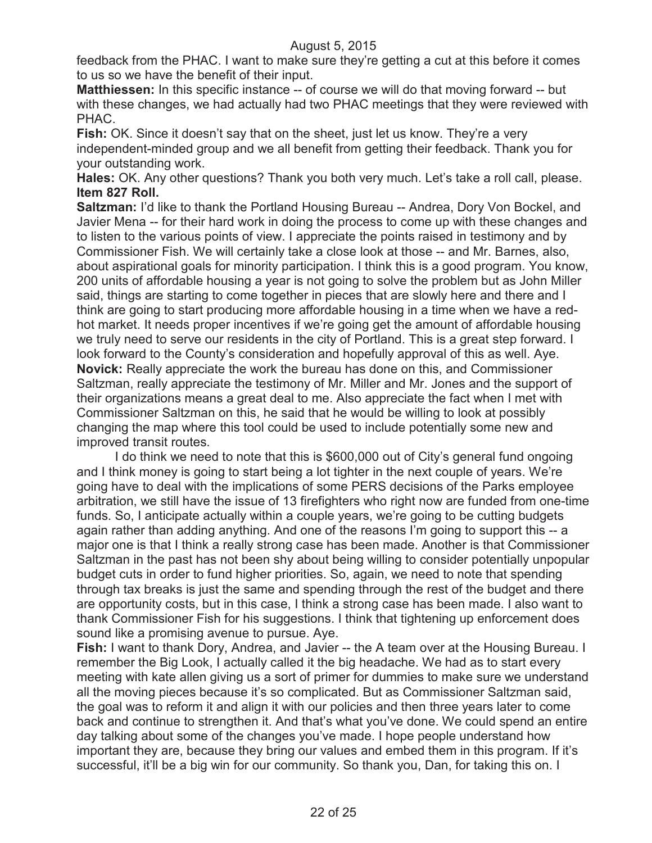feedback from the PHAC. I want to make sure they're getting a cut at this before it comes to us so we have the benefit of their input.

**Matthiessen:** In this specific instance -- of course we will do that moving forward -- but with these changes, we had actually had two PHAC meetings that they were reviewed with PHAC.

**Fish:** OK. Since it doesn't say that on the sheet, just let us know. They're a very independent-minded group and we all benefit from getting their feedback. Thank you for your outstanding work.

**Hales:** OK. Any other questions? Thank you both very much. Let's take a roll call, please. **Item 827 Roll.**

**Saltzman:** I'd like to thank the Portland Housing Bureau -- Andrea, Dory Von Bockel, and Javier Mena -- for their hard work in doing the process to come up with these changes and to listen to the various points of view. I appreciate the points raised in testimony and by Commissioner Fish. We will certainly take a close look at those -- and Mr. Barnes, also, about aspirational goals for minority participation. I think this is a good program. You know, 200 units of affordable housing a year is not going to solve the problem but as John Miller said, things are starting to come together in pieces that are slowly here and there and I think are going to start producing more affordable housing in a time when we have a redhot market. It needs proper incentives if we're going get the amount of affordable housing we truly need to serve our residents in the city of Portland. This is a great step forward. I look forward to the County's consideration and hopefully approval of this as well. Aye. **Novick:** Really appreciate the work the bureau has done on this, and Commissioner Saltzman, really appreciate the testimony of Mr. Miller and Mr. Jones and the support of their organizations means a great deal to me. Also appreciate the fact when I met with Commissioner Saltzman on this, he said that he would be willing to look at possibly changing the map where this tool could be used to include potentially some new and improved transit routes.

I do think we need to note that this is \$600,000 out of City's general fund ongoing and I think money is going to start being a lot tighter in the next couple of years. We're going have to deal with the implications of some PERS decisions of the Parks employee arbitration, we still have the issue of 13 firefighters who right now are funded from one-time funds. So, I anticipate actually within a couple years, we're going to be cutting budgets again rather than adding anything. And one of the reasons I'm going to support this -- a major one is that I think a really strong case has been made. Another is that Commissioner Saltzman in the past has not been shy about being willing to consider potentially unpopular budget cuts in order to fund higher priorities. So, again, we need to note that spending through tax breaks is just the same and spending through the rest of the budget and there are opportunity costs, but in this case, I think a strong case has been made. I also want to thank Commissioner Fish for his suggestions. I think that tightening up enforcement does sound like a promising avenue to pursue. Aye.

**Fish:** I want to thank Dory, Andrea, and Javier -- the A team over at the Housing Bureau. I remember the Big Look, I actually called it the big headache. We had as to start every meeting with kate allen giving us a sort of primer for dummies to make sure we understand all the moving pieces because it's so complicated. But as Commissioner Saltzman said, the goal was to reform it and align it with our policies and then three years later to come back and continue to strengthen it. And that's what you've done. We could spend an entire day talking about some of the changes you've made. I hope people understand how important they are, because they bring our values and embed them in this program. If it's successful, it'll be a big win for our community. So thank you, Dan, for taking this on. I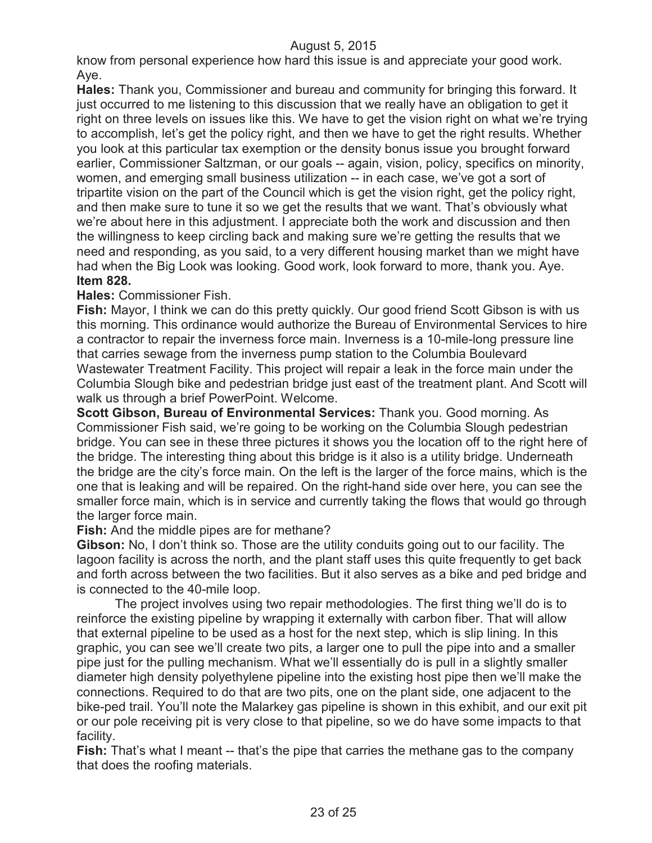know from personal experience how hard this issue is and appreciate your good work. Aye.

**Hales:** Thank you, Commissioner and bureau and community for bringing this forward. It just occurred to me listening to this discussion that we really have an obligation to get it right on three levels on issues like this. We have to get the vision right on what we're trying to accomplish, let's get the policy right, and then we have to get the right results. Whether you look at this particular tax exemption or the density bonus issue you brought forward earlier, Commissioner Saltzman, or our goals -- again, vision, policy, specifics on minority, women, and emerging small business utilization -- in each case, we've got a sort of tripartite vision on the part of the Council which is get the vision right, get the policy right, and then make sure to tune it so we get the results that we want. That's obviously what we're about here in this adjustment. I appreciate both the work and discussion and then the willingness to keep circling back and making sure we're getting the results that we need and responding, as you said, to a very different housing market than we might have had when the Big Look was looking. Good work, look forward to more, thank you. Aye. **Item 828.**

#### **Hales:** Commissioner Fish.

Fish: Mayor, I think we can do this pretty quickly. Our good friend Scott Gibson is with us this morning. This ordinance would authorize the Bureau of Environmental Services to hire a contractor to repair the inverness force main. Inverness is a 10-mile-long pressure line that carries sewage from the inverness pump station to the Columbia Boulevard Wastewater Treatment Facility. This project will repair a leak in the force main under the Columbia Slough bike and pedestrian bridge just east of the treatment plant. And Scott will walk us through a brief PowerPoint. Welcome.

**Scott Gibson, Bureau of Environmental Services:** Thank you. Good morning. As Commissioner Fish said, we're going to be working on the Columbia Slough pedestrian bridge. You can see in these three pictures it shows you the location off to the right here of the bridge. The interesting thing about this bridge is it also is a utility bridge. Underneath the bridge are the city's force main. On the left is the larger of the force mains, which is the one that is leaking and will be repaired. On the right-hand side over here, you can see the smaller force main, which is in service and currently taking the flows that would go through the larger force main.

### **Fish:** And the middle pipes are for methane?

**Gibson:** No, I don't think so. Those are the utility conduits going out to our facility. The lagoon facility is across the north, and the plant staff uses this quite frequently to get back and forth across between the two facilities. But it also serves as a bike and ped bridge and is connected to the 40-mile loop.

The project involves using two repair methodologies. The first thing we'll do is to reinforce the existing pipeline by wrapping it externally with carbon fiber. That will allow that external pipeline to be used as a host for the next step, which is slip lining. In this graphic, you can see we'll create two pits, a larger one to pull the pipe into and a smaller pipe just for the pulling mechanism. What we'll essentially do is pull in a slightly smaller diameter high density polyethylene pipeline into the existing host pipe then we'll make the connections. Required to do that are two pits, one on the plant side, one adjacent to the bike-ped trail. You'll note the Malarkey gas pipeline is shown in this exhibit, and our exit pit or our pole receiving pit is very close to that pipeline, so we do have some impacts to that facility.

**Fish:** That's what I meant -- that's the pipe that carries the methane gas to the company that does the roofing materials.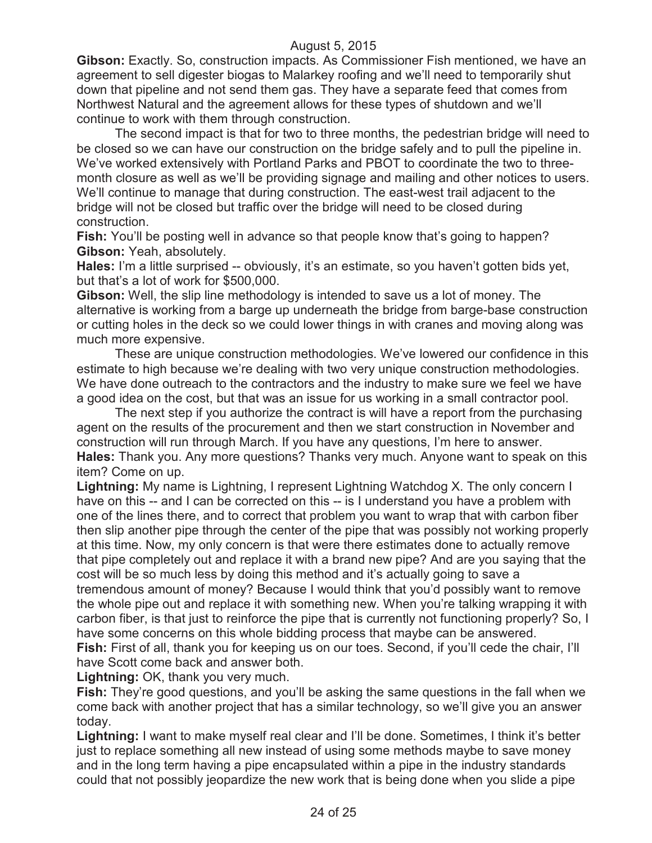**Gibson:** Exactly. So, construction impacts. As Commissioner Fish mentioned, we have an agreement to sell digester biogas to Malarkey roofing and we'll need to temporarily shut down that pipeline and not send them gas. They have a separate feed that comes from Northwest Natural and the agreement allows for these types of shutdown and we'll continue to work with them through construction.

The second impact is that for two to three months, the pedestrian bridge will need to be closed so we can have our construction on the bridge safely and to pull the pipeline in. We've worked extensively with Portland Parks and PBOT to coordinate the two to threemonth closure as well as we'll be providing signage and mailing and other notices to users. We'll continue to manage that during construction. The east-west trail adjacent to the bridge will not be closed but traffic over the bridge will need to be closed during construction.

**Fish:** You'll be posting well in advance so that people know that's going to happen? **Gibson:** Yeah, absolutely.

**Hales:** I'm a little surprised -- obviously, it's an estimate, so you haven't gotten bids yet, but that's a lot of work for \$500,000.

**Gibson:** Well, the slip line methodology is intended to save us a lot of money. The alternative is working from a barge up underneath the bridge from barge-base construction or cutting holes in the deck so we could lower things in with cranes and moving along was much more expensive.

These are unique construction methodologies. We've lowered our confidence in this estimate to high because we're dealing with two very unique construction methodologies. We have done outreach to the contractors and the industry to make sure we feel we have a good idea on the cost, but that was an issue for us working in a small contractor pool.

The next step if you authorize the contract is will have a report from the purchasing agent on the results of the procurement and then we start construction in November and construction will run through March. If you have any questions, I'm here to answer. **Hales:** Thank you. Any more questions? Thanks very much. Anyone want to speak on this item? Come on up.

**Lightning:** My name is Lightning, I represent Lightning Watchdog X. The only concern I have on this -- and I can be corrected on this -- is I understand you have a problem with one of the lines there, and to correct that problem you want to wrap that with carbon fiber then slip another pipe through the center of the pipe that was possibly not working properly at this time. Now, my only concern is that were there estimates done to actually remove that pipe completely out and replace it with a brand new pipe? And are you saying that the cost will be so much less by doing this method and it's actually going to save a tremendous amount of money? Because I would think that you'd possibly want to remove the whole pipe out and replace it with something new. When you're talking wrapping it with carbon fiber, is that just to reinforce the pipe that is currently not functioning properly? So, I have some concerns on this whole bidding process that maybe can be answered.

**Fish:** First of all, thank you for keeping us on our toes. Second, if you'll cede the chair, I'll have Scott come back and answer both.

**Lightning:** OK, thank you very much.

**Fish:** They're good questions, and you'll be asking the same questions in the fall when we come back with another project that has a similar technology, so we'll give you an answer today.

**Lightning:** I want to make myself real clear and I'll be done. Sometimes, I think it's better just to replace something all new instead of using some methods maybe to save money and in the long term having a pipe encapsulated within a pipe in the industry standards could that not possibly jeopardize the new work that is being done when you slide a pipe